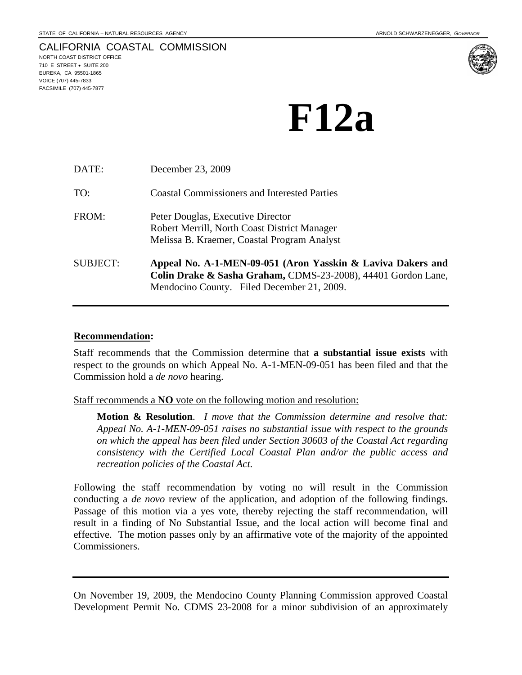#### CALIFORNIA COASTAL COMMISSION NORTH COAST DISTRICT OFFICE 710 E STREET • SUITE 200 EUREKA, CA 95501-1865 VOICE (707) 445-7833 FACSIMILE (707) 445-7877



| DATE:           | December 23, 2009                                                                                                                                                          |
|-----------------|----------------------------------------------------------------------------------------------------------------------------------------------------------------------------|
| TO:             | <b>Coastal Commissioners and Interested Parties</b>                                                                                                                        |
| FROM:           | Peter Douglas, Executive Director<br>Robert Merrill, North Coast District Manager<br>Melissa B. Kraemer, Coastal Program Analyst                                           |
| <b>SUBJECT:</b> | Appeal No. A-1-MEN-09-051 (Aron Yasskin & Laviva Dakers and<br>Colin Drake & Sasha Graham, CDMS-23-2008), 44401 Gordon Lane,<br>Mendocino County. Filed December 21, 2009. |

### **Recommendation:**

Staff recommends that the Commission determine that **a substantial issue exists** with respect to the grounds on which Appeal No. A-1-MEN-09-051 has been filed and that the Commission hold a *de novo* hearing.

### Staff recommends a **NO** vote on the following motion and resolution:

**Motion & Resolution**. *I move that the Commission determine and resolve that: Appeal No. A-1-MEN-09-051 raises no substantial issue with respect to the grounds on which the appeal has been filed under Section 30603 of the Coastal Act regarding consistency with the Certified Local Coastal Plan and/or the public access and recreation policies of the Coastal Act*.

Following the staff recommendation by voting no will result in the Commission conducting a *de novo* review of the application, and adoption of the following findings. Passage of this motion via a yes vote, thereby rejecting the staff recommendation, will result in a finding of No Substantial Issue, and the local action will become final and effective. The motion passes only by an affirmative vote of the majority of the appointed Commissioners.

On November 19, 2009, the Mendocino County Planning Commission approved Coastal Development Permit No. CDMS 23-2008 for a minor subdivision of an approximately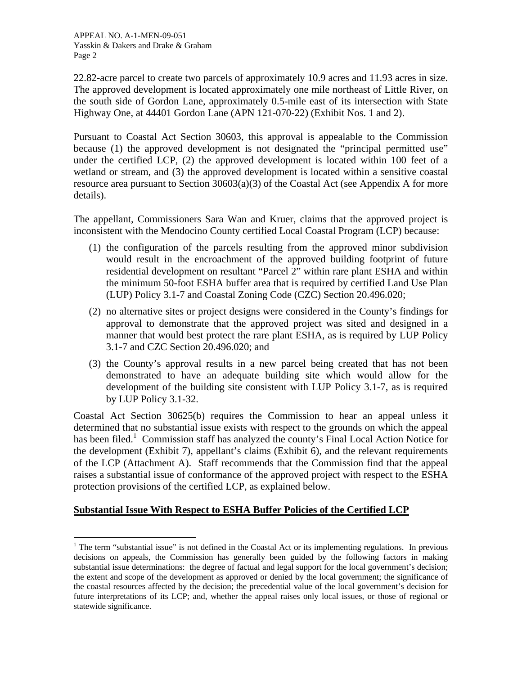$\overline{a}$ 

22.82-acre parcel to create two parcels of approximately 10.9 acres and 11.93 acres in size. The approved development is located approximately one mile northeast of Little River, on the south side of Gordon Lane, approximately 0.5-mile east of its intersection with State Highway One, at 44401 Gordon Lane (APN 121-070-22) (Exhibit Nos. 1 and 2).

Pursuant to Coastal Act Section 30603, this approval is appealable to the Commission because (1) the approved development is not designated the "principal permitted use" under the certified LCP, (2) the approved development is located within 100 feet of a wetland or stream, and (3) the approved development is located within a sensitive coastal resource area pursuant to Section 30603(a)(3) of the Coastal Act (see Appendix A for more details).

The appellant, Commissioners Sara Wan and Kruer, claims that the approved project is inconsistent with the Mendocino County certified Local Coastal Program (LCP) because:

- (1) the configuration of the parcels resulting from the approved minor subdivision would result in the encroachment of the approved building footprint of future residential development on resultant "Parcel 2" within rare plant ESHA and within the minimum 50-foot ESHA buffer area that is required by certified Land Use Plan (LUP) Policy 3.1-7 and Coastal Zoning Code (CZC) Section 20.496.020;
- (2) no alternative sites or project designs were considered in the County's findings for approval to demonstrate that the approved project was sited and designed in a manner that would best protect the rare plant ESHA, as is required by LUP Policy 3.1-7 and CZC Section 20.496.020; and
- (3) the County's approval results in a new parcel being created that has not been demonstrated to have an adequate building site which would allow for the development of the building site consistent with LUP Policy 3.1-7, as is required by LUP Policy 3.1-32.

Coastal Act Section 30625(b) requires the Commission to hear an appeal unless it determined that no substantial issue exists with respect to the grounds on which the appeal has been filed.<sup>1</sup> Commission staff has analyzed the county's Final Local Action Notice for the development (Exhibit 7), appellant's claims (Exhibit 6), and the relevant requirements of the LCP (Attachment A). Staff recommends that the Commission find that the appeal raises a substantial issue of conformance of the approved project with respect to the ESHA protection provisions of the certified LCP, as explained below.

## **Substantial Issue With Respect to ESHA Buffer Policies of the Certified LCP**

<span id="page-1-0"></span><sup>&</sup>lt;sup>1</sup> The term "substantial issue" is not defined in the Coastal Act or its implementing regulations. In previous decisions on appeals, the Commission has generally been guided by the following factors in making substantial issue determinations: the degree of factual and legal support for the local government's decision; the extent and scope of the development as approved or denied by the local government; the significance of the coastal resources affected by the decision; the precedential value of the local government's decision for future interpretations of its LCP; and, whether the appeal raises only local issues, or those of regional or statewide significance.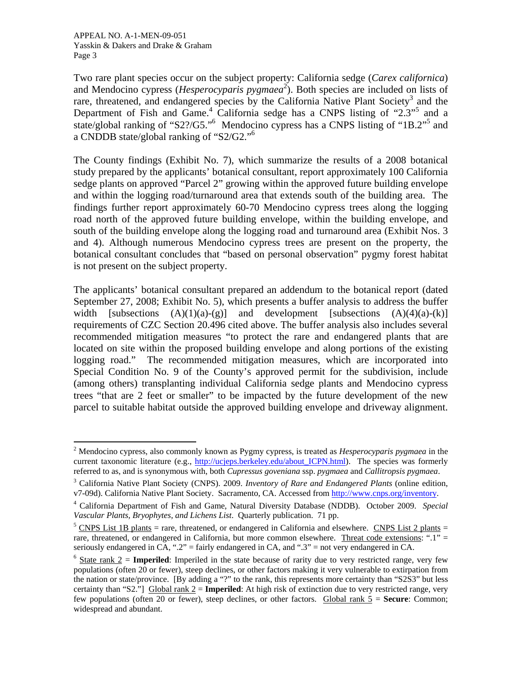$\overline{a}$ 

Two rare plant species occur on the subject property: California sedge (*Carex californica*) and Mendocino cypress (*Hesperocyparis pygmaea*<sup>[2](#page-2-0)</sup>). Both species are included on lists of rare, threatened, and endangered species by the California Native Plant Society<sup>[3](#page-2-1)</sup> and the Department of Fish and Game.<sup>[4](#page-2-2)</sup>California sedge has a CNPS listing of "2.3"<sup>5</sup> and a state/global ranking of "S2?/G5."<sup>[6](#page-2-4)</sup> Mendocino cypress has a CNPS listing of "1B.2"<sup>5</sup> and a CNDDB state/global ranking of "S2/G2."6

The County findings (Exhibit No. 7), which summarize the results of a 2008 botanical study prepared by the applicants' botanical consultant, report approximately 100 California sedge plants on approved "Parcel 2" growing within the approved future building envelope and within the logging road/turnaround area that extends south of the building area. The findings further report approximately 60-70 Mendocino cypress trees along the logging road north of the approved future building envelope, within the building envelope, and south of the building envelope along the logging road and turnaround area (Exhibit Nos. 3 and 4). Although numerous Mendocino cypress trees are present on the property, the botanical consultant concludes that "based on personal observation" pygmy forest habitat is not present on the subject property.

The applicants' botanical consultant prepared an addendum to the botanical report (dated September 27, 2008; Exhibit No. 5), which presents a buffer analysis to address the buffer width [subsections  $(A)(1)(a)-(g)$ ] and development [subsections  $(A)(4)(a)-(k)$ ] requirements of CZC Section 20.496 cited above. The buffer analysis also includes several recommended mitigation measures "to protect the rare and endangered plants that are located on site within the proposed building envelope and along portions of the existing logging road." The recommended mitigation measures, which are incorporated into Special Condition No. 9 of the County's approved permit for the subdivision, include (among others) transplanting individual California sedge plants and Mendocino cypress trees "that are 2 feet or smaller" to be impacted by the future development of the new parcel to suitable habitat outside the approved building envelope and driveway alignment.

<span id="page-2-0"></span><sup>2</sup> Mendocino cypress, also commonly known as Pygmy cypress, is treated as *Hesperocyparis pygmaea* in the current taxonomic literature (e.g., http://ucjeps.berkeley.edu/about ICPN.html). The species was formerly referred to as, and is synonymous with, both *Cupressus goveniana* ssp. *pygmaea* and *Callitropsis pygmaea*.

<span id="page-2-1"></span><sup>3</sup> California Native Plant Society (CNPS). 2009. *Inventory of Rare and Endangered Plants* (online edition, v7-09d). California Native Plant Society. Sacramento, CA. Accessed from [http://www.cnps.org/inventory.](http://www.cnps.org/inventory)

<span id="page-2-2"></span><sup>4</sup> California Department of Fish and Game, Natural Diversity Database (NDDB). October 2009. *Special Vascular Plants, Bryophytes, and Lichens List.* Quarterly publication. 71 pp.<br><sup>5</sup> CNPS List 1B plants = rare, threatened, or endangered in California and elsewhere. CNPS List 2 plants =

<span id="page-2-3"></span>rare, threatened, or endangered in California, but more common elsewhere. Threat code extensions: ".1" = seriously endangered in CA, ".2" = fairly endangered in CA, and ".3" = not very endangered in CA.

<span id="page-2-4"></span> $6$  State rank  $2 =$  **Imperiled**: Imperiled in the state because of rarity due to very restricted range, very few populations (often 20 or fewer), steep declines, or other factors making it very vulnerable to extirpation from the nation or state/province. [By adding a "?" to the rank, this represents more certainty than "S2S3" but less certainty than "S2."] Global rank 2 = **Imperiled**: At high risk of extinction due to very restricted range, very few populations (often 20 or fewer), steep declines, or other factors. Global rank  $5 =$  **Secure**: Common; widespread and abundant.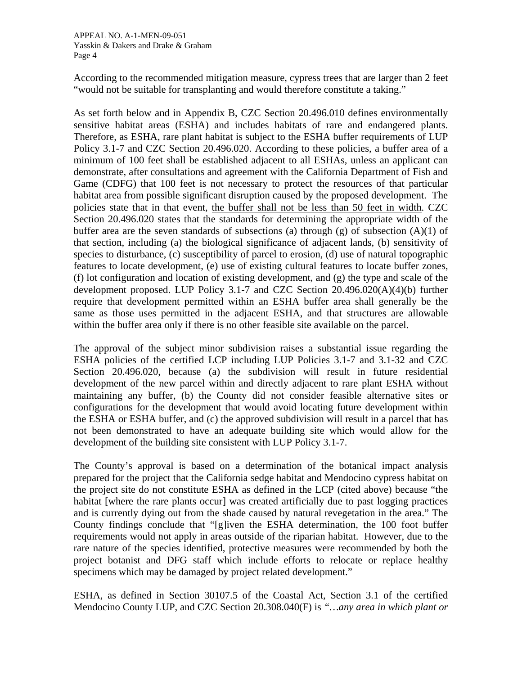According to the recommended mitigation measure, cypress trees that are larger than 2 feet "would not be suitable for transplanting and would therefore constitute a taking."

As set forth below and in Appendix B, CZC Section 20.496.010 defines environmentally sensitive habitat areas (ESHA) and includes habitats of rare and endangered plants. Therefore, as ESHA, rare plant habitat is subject to the ESHA buffer requirements of LUP Policy 3.1-7 and CZC Section 20.496.020. According to these policies, a buffer area of a minimum of 100 feet shall be established adjacent to all ESHAs, unless an applicant can demonstrate, after consultations and agreement with the California Department of Fish and Game (CDFG) that 100 feet is not necessary to protect the resources of that particular habitat area from possible significant disruption caused by the proposed development. The policies state that in that event, the buffer shall not be less than 50 feet in width. CZC Section 20.496.020 states that the standards for determining the appropriate width of the buffer area are the seven standards of subsections (a) through (g) of subsection  $(A)(1)$  of that section, including (a) the biological significance of adjacent lands, (b) sensitivity of species to disturbance, (c) susceptibility of parcel to erosion, (d) use of natural topographic features to locate development, (e) use of existing cultural features to locate buffer zones, (f) lot configuration and location of existing development, and (g) the type and scale of the development proposed. LUP Policy 3.1-7 and CZC Section 20.496.020(A)(4)(b) further require that development permitted within an ESHA buffer area shall generally be the same as those uses permitted in the adjacent ESHA, and that structures are allowable within the buffer area only if there is no other feasible site available on the parcel.

The approval of the subject minor subdivision raises a substantial issue regarding the ESHA policies of the certified LCP including LUP Policies 3.1-7 and 3.1-32 and CZC Section 20.496.020, because (a) the subdivision will result in future residential development of the new parcel within and directly adjacent to rare plant ESHA without maintaining any buffer, (b) the County did not consider feasible alternative sites or configurations for the development that would avoid locating future development within the ESHA or ESHA buffer, and (c) the approved subdivision will result in a parcel that has not been demonstrated to have an adequate building site which would allow for the development of the building site consistent with LUP Policy 3.1-7.

The County's approval is based on a determination of the botanical impact analysis prepared for the project that the California sedge habitat and Mendocino cypress habitat on the project site do not constitute ESHA as defined in the LCP (cited above) because "the habitat [where the rare plants occur] was created artificially due to past logging practices and is currently dying out from the shade caused by natural revegetation in the area." The County findings conclude that "[g]iven the ESHA determination, the 100 foot buffer requirements would not apply in areas outside of the riparian habitat. However, due to the rare nature of the species identified, protective measures were recommended by both the project botanist and DFG staff which include efforts to relocate or replace healthy specimens which may be damaged by project related development."

ESHA, as defined in Section 30107.5 of the Coastal Act, Section 3.1 of the certified Mendocino County LUP, and CZC Section 20.308.040(F) is *"…any area in which plant or*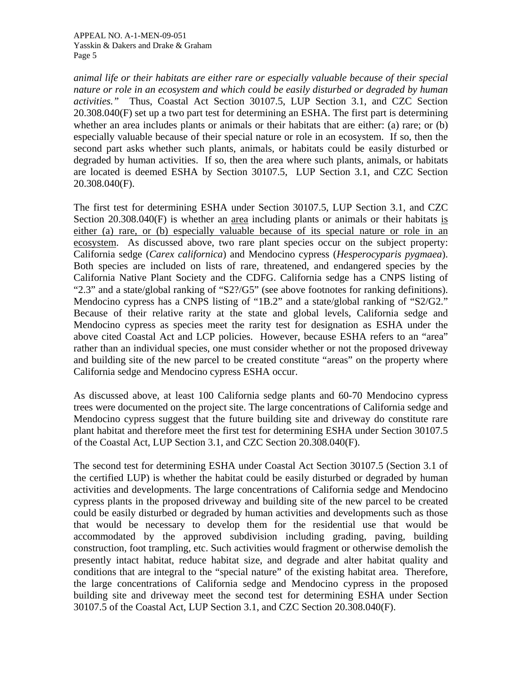*animal life or their habitats are either rare or especially valuable because of their special nature or role in an ecosystem and which could be easily disturbed or degraded by human activities."* Thus, Coastal Act Section 30107.5, LUP Section 3.1, and CZC Section 20.308.040(F) set up a two part test for determining an ESHA. The first part is determining whether an area includes plants or animals or their habitats that are either: (a) rare; or (b) especially valuable because of their special nature or role in an ecosystem. If so, then the second part asks whether such plants, animals, or habitats could be easily disturbed or degraded by human activities. If so, then the area where such plants, animals, or habitats are located is deemed ESHA by Section 30107.5, LUP Section 3.1, and CZC Section 20.308.040(F).

The first test for determining ESHA under Section 30107.5, LUP Section 3.1, and CZC Section  $20.308.040(F)$  is whether an <u>area</u> including plants or animals or their habitats is either (a) rare, or (b) especially valuable because of its special nature or role in an ecosystem. As discussed above, two rare plant species occur on the subject property: California sedge (*Carex californica*) and Mendocino cypress (*Hesperocyparis pygmaea*). Both species are included on lists of rare, threatened, and endangered species by the California Native Plant Society and the CDFG. California sedge has a CNPS listing of "2.3" and a state/global ranking of "S2?/G5" (see above footnotes for ranking definitions). Mendocino cypress has a CNPS listing of "1B.2" and a state/global ranking of "S2/G2." Because of their relative rarity at the state and global levels, California sedge and Mendocino cypress as species meet the rarity test for designation as ESHA under the above cited Coastal Act and LCP policies. However, because ESHA refers to an "area" rather than an individual species, one must consider whether or not the proposed driveway and building site of the new parcel to be created constitute "areas" on the property where California sedge and Mendocino cypress ESHA occur.

As discussed above, at least 100 California sedge plants and 60-70 Mendocino cypress trees were documented on the project site. The large concentrations of California sedge and Mendocino cypress suggest that the future building site and driveway do constitute rare plant habitat and therefore meet the first test for determining ESHA under Section 30107.5 of the Coastal Act, LUP Section 3.1, and CZC Section 20.308.040(F).

The second test for determining ESHA under Coastal Act Section 30107.5 (Section 3.1 of the certified LUP) is whether the habitat could be easily disturbed or degraded by human activities and developments. The large concentrations of California sedge and Mendocino cypress plants in the proposed driveway and building site of the new parcel to be created could be easily disturbed or degraded by human activities and developments such as those that would be necessary to develop them for the residential use that would be accommodated by the approved subdivision including grading, paving, building construction, foot trampling, etc. Such activities would fragment or otherwise demolish the presently intact habitat, reduce habitat size, and degrade and alter habitat quality and conditions that are integral to the "special nature" of the existing habitat area. Therefore, the large concentrations of California sedge and Mendocino cypress in the proposed building site and driveway meet the second test for determining ESHA under Section 30107.5 of the Coastal Act, LUP Section 3.1, and CZC Section 20.308.040(F).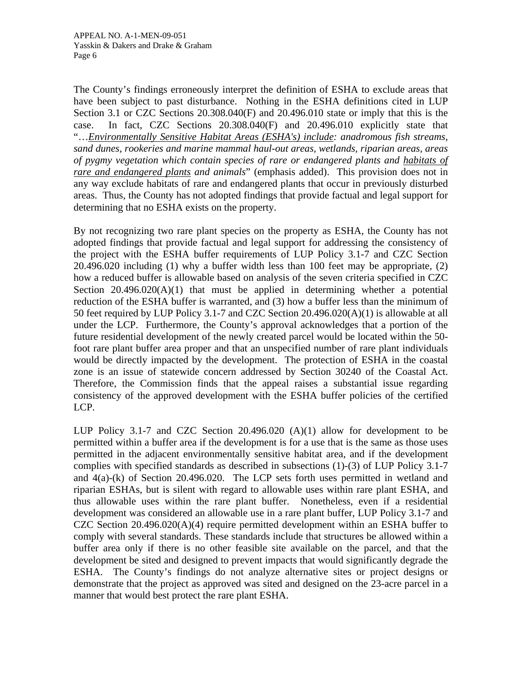The County's findings erroneously interpret the definition of ESHA to exclude areas that have been subject to past disturbance. Nothing in the ESHA definitions cited in LUP Section 3.1 or CZC Sections 20.308.040(F) and 20.496.010 state or imply that this is the case. In fact, CZC Sections 20.308.040(F) and 20.496.010 explicitly state that "…*Environmentally Sensitive Habitat Areas (ESHA's) include: anadromous fish streams, sand dunes, rookeries and marine mammal haul-out areas, wetlands, riparian areas, areas of pygmy vegetation which contain species of rare or endangered plants and habitats of rare and endangered plants and animals*" (emphasis added). This provision does not in any way exclude habitats of rare and endangered plants that occur in previously disturbed areas. Thus, the County has not adopted findings that provide factual and legal support for determining that no ESHA exists on the property.

By not recognizing two rare plant species on the property as ESHA, the County has not adopted findings that provide factual and legal support for addressing the consistency of the project with the ESHA buffer requirements of LUP Policy 3.1-7 and CZC Section 20.496.020 including (1) why a buffer width less than 100 feet may be appropriate, (2) how a reduced buffer is allowable based on analysis of the seven criteria specified in CZC Section  $20.496.020(A)(1)$  that must be applied in determining whether a potential reduction of the ESHA buffer is warranted, and (3) how a buffer less than the minimum of 50 feet required by LUP Policy 3.1-7 and CZC Section 20.496.020(A)(1) is allowable at all under the LCP. Furthermore, the County's approval acknowledges that a portion of the future residential development of the newly created parcel would be located within the 50 foot rare plant buffer area proper and that an unspecified number of rare plant individuals would be directly impacted by the development. The protection of ESHA in the coastal zone is an issue of statewide concern addressed by Section 30240 of the Coastal Act. Therefore, the Commission finds that the appeal raises a substantial issue regarding consistency of the approved development with the ESHA buffer policies of the certified LCP.

LUP Policy 3.1-7 and CZC Section 20.496.020 (A)(1) allow for development to be permitted within a buffer area if the development is for a use that is the same as those uses permitted in the adjacent environmentally sensitive habitat area, and if the development complies with specified standards as described in subsections (1)-(3) of LUP Policy 3.1-7 and 4(a)-(k) of Section 20.496.020. The LCP sets forth uses permitted in wetland and riparian ESHAs, but is silent with regard to allowable uses within rare plant ESHA, and thus allowable uses within the rare plant buffer. Nonetheless, even if a residential development was considered an allowable use in a rare plant buffer, LUP Policy 3.1-7 and CZC Section 20.496.020(A)(4) require permitted development within an ESHA buffer to comply with several standards. These standards include that structures be allowed within a buffer area only if there is no other feasible site available on the parcel, and that the development be sited and designed to prevent impacts that would significantly degrade the ESHA. The County's findings do not analyze alternative sites or project designs or demonstrate that the project as approved was sited and designed on the 23-acre parcel in a manner that would best protect the rare plant ESHA.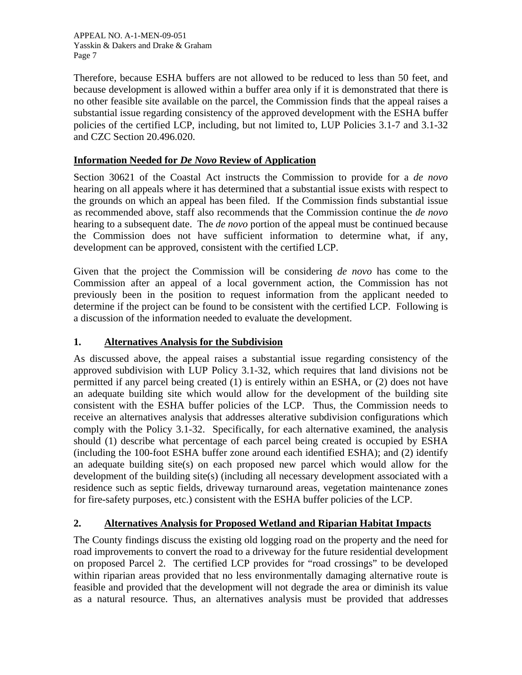APPEAL NO. A-1-MEN-09-051 Yasskin & Dakers and Drake & Graham Page 7

Therefore, because ESHA buffers are not allowed to be reduced to less than 50 feet, and because development is allowed within a buffer area only if it is demonstrated that there is no other feasible site available on the parcel, the Commission finds that the appeal raises a substantial issue regarding consistency of the approved development with the ESHA buffer policies of the certified LCP, including, but not limited to, LUP Policies 3.1-7 and 3.1-32 and CZC Section 20.496.020.

## **Information Needed for** *De Novo* **Review of Application**

Section 30621 of the Coastal Act instructs the Commission to provide for a *de novo* hearing on all appeals where it has determined that a substantial issue exists with respect to the grounds on which an appeal has been filed. If the Commission finds substantial issue as recommended above, staff also recommends that the Commission continue the *de novo* hearing to a subsequent date. The *de novo* portion of the appeal must be continued because the Commission does not have sufficient information to determine what, if any, development can be approved, consistent with the certified LCP.

Given that the project the Commission will be considering *de novo* has come to the Commission after an appeal of a local government action, the Commission has not previously been in the position to request information from the applicant needed to determine if the project can be found to be consistent with the certified LCP. Following is a discussion of the information needed to evaluate the development.

## **1. Alternatives Analysis for the Subdivision**

As discussed above, the appeal raises a substantial issue regarding consistency of the approved subdivision with LUP Policy 3.1-32, which requires that land divisions not be permitted if any parcel being created (1) is entirely within an ESHA, or (2) does not have an adequate building site which would allow for the development of the building site consistent with the ESHA buffer policies of the LCP. Thus, the Commission needs to receive an alternatives analysis that addresses alterative subdivision configurations which comply with the Policy 3.1-32. Specifically, for each alternative examined, the analysis should (1) describe what percentage of each parcel being created is occupied by ESHA (including the 100-foot ESHA buffer zone around each identified ESHA); and (2) identify an adequate building site(s) on each proposed new parcel which would allow for the development of the building site(s) (including all necessary development associated with a residence such as septic fields, driveway turnaround areas, vegetation maintenance zones for fire-safety purposes, etc.) consistent with the ESHA buffer policies of the LCP.

# **2. Alternatives Analysis for Proposed Wetland and Riparian Habitat Impacts**

The County findings discuss the existing old logging road on the property and the need for road improvements to convert the road to a driveway for the future residential development on proposed Parcel 2. The certified LCP provides for "road crossings" to be developed within riparian areas provided that no less environmentally damaging alternative route is feasible and provided that the development will not degrade the area or diminish its value as a natural resource. Thus, an alternatives analysis must be provided that addresses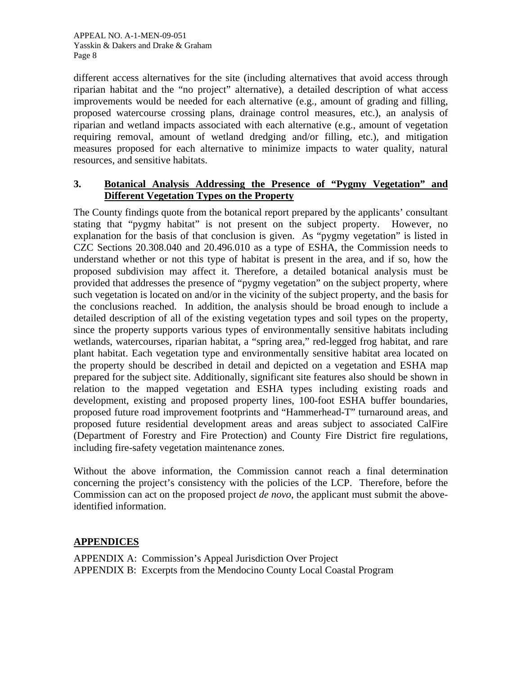different access alternatives for the site (including alternatives that avoid access through riparian habitat and the "no project" alternative), a detailed description of what access improvements would be needed for each alternative (e.g., amount of grading and filling, proposed watercourse crossing plans, drainage control measures, etc.), an analysis of riparian and wetland impacts associated with each alternative (e.g., amount of vegetation requiring removal, amount of wetland dredging and/or filling, etc.), and mitigation measures proposed for each alternative to minimize impacts to water quality, natural resources, and sensitive habitats.

## **3. Botanical Analysis Addressing the Presence of "Pygmy Vegetation" and Different Vegetation Types on the Property**

The County findings quote from the botanical report prepared by the applicants' consultant stating that "pygmy habitat" is not present on the subject property. However, no explanation for the basis of that conclusion is given. As "pygmy vegetation" is listed in CZC Sections 20.308.040 and 20.496.010 as a type of ESHA, the Commission needs to understand whether or not this type of habitat is present in the area, and if so, how the proposed subdivision may affect it. Therefore, a detailed botanical analysis must be provided that addresses the presence of "pygmy vegetation" on the subject property, where such vegetation is located on and/or in the vicinity of the subject property, and the basis for the conclusions reached. In addition, the analysis should be broad enough to include a detailed description of all of the existing vegetation types and soil types on the property, since the property supports various types of environmentally sensitive habitats including wetlands, watercourses, riparian habitat, a "spring area," red-legged frog habitat, and rare plant habitat. Each vegetation type and environmentally sensitive habitat area located on the property should be described in detail and depicted on a vegetation and ESHA map prepared for the subject site. Additionally, significant site features also should be shown in relation to the mapped vegetation and ESHA types including existing roads and development, existing and proposed property lines, 100-foot ESHA buffer boundaries, proposed future road improvement footprints and "Hammerhead-T" turnaround areas, and proposed future residential development areas and areas subject to associated CalFire (Department of Forestry and Fire Protection) and County Fire District fire regulations, including fire-safety vegetation maintenance zones.

Without the above information, the Commission cannot reach a final determination concerning the project's consistency with the policies of the LCP. Therefore, before the Commission can act on the proposed project *de novo*, the applicant must submit the aboveidentified information.

# **APPENDICES**

APPENDIX A: Commission's Appeal Jurisdiction Over Project APPENDIX B: Excerpts from the Mendocino County Local Coastal Program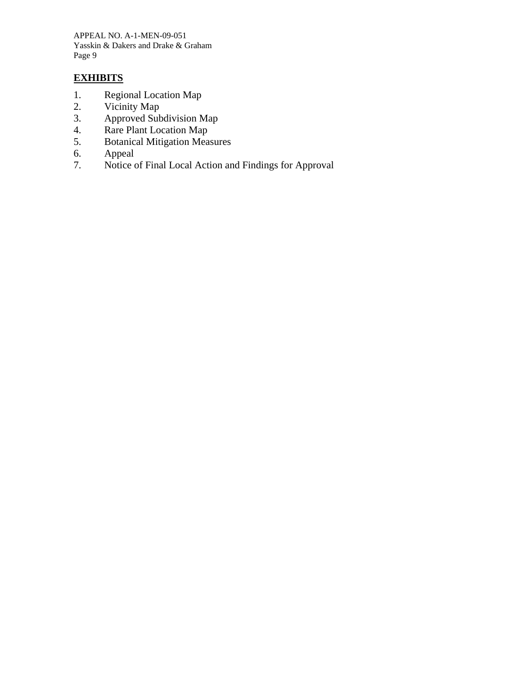APPEAL NO. A-1-MEN-09-051 Yasskin & Dakers and Drake & Graham Page 9

## **EXHIBITS**

- 1. Regional Location Map
- 2. Vicinity Map<br>3. Approved Sub
- Approved Subdivision Map
- 4. Rare Plant Location Map
- 5. Botanical Mitigation Measures
- 6. Appeal
- 7. Notice of Final Local Action and Findings for Approval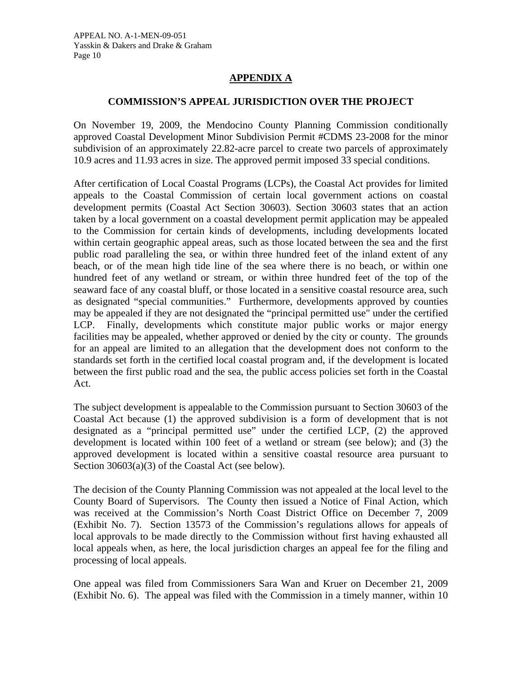## **APPENDIX A**

## **COMMISSION'S APPEAL JURISDICTION OVER THE PROJECT**

On November 19, 2009, the Mendocino County Planning Commission conditionally approved Coastal Development Minor Subdivision Permit #CDMS 23-2008 for the minor subdivision of an approximately 22.82-acre parcel to create two parcels of approximately 10.9 acres and 11.93 acres in size. The approved permit imposed 33 special conditions.

After certification of Local Coastal Programs (LCPs), the Coastal Act provides for limited appeals to the Coastal Commission of certain local government actions on coastal development permits (Coastal Act Section 30603). Section 30603 states that an action taken by a local government on a coastal development permit application may be appealed to the Commission for certain kinds of developments, including developments located within certain geographic appeal areas, such as those located between the sea and the first public road paralleling the sea, or within three hundred feet of the inland extent of any beach, or of the mean high tide line of the sea where there is no beach, or within one hundred feet of any wetland or stream, or within three hundred feet of the top of the seaward face of any coastal bluff, or those located in a sensitive coastal resource area, such as designated "special communities." Furthermore, developments approved by counties may be appealed if they are not designated the "principal permitted use" under the certified LCP. Finally, developments which constitute major public works or major energy facilities may be appealed, whether approved or denied by the city or county. The grounds for an appeal are limited to an allegation that the development does not conform to the standards set forth in the certified local coastal program and, if the development is located between the first public road and the sea, the public access policies set forth in the Coastal Act.

The subject development is appealable to the Commission pursuant to Section 30603 of the Coastal Act because (1) the approved subdivision is a form of development that is not designated as a "principal permitted use" under the certified LCP, (2) the approved development is located within 100 feet of a wetland or stream (see below); and (3) the approved development is located within a sensitive coastal resource area pursuant to Section 30603(a)(3) of the Coastal Act (see below).

The decision of the County Planning Commission was not appealed at the local level to the County Board of Supervisors. The County then issued a Notice of Final Action, which was received at the Commission's North Coast District Office on December 7, 2009 (Exhibit No. 7). Section 13573 of the Commission's regulations allows for appeals of local approvals to be made directly to the Commission without first having exhausted all local appeals when, as here, the local jurisdiction charges an appeal fee for the filing and processing of local appeals.

One appeal was filed from Commissioners Sara Wan and Kruer on December 21, 2009 (Exhibit No. 6). The appeal was filed with the Commission in a timely manner, within 10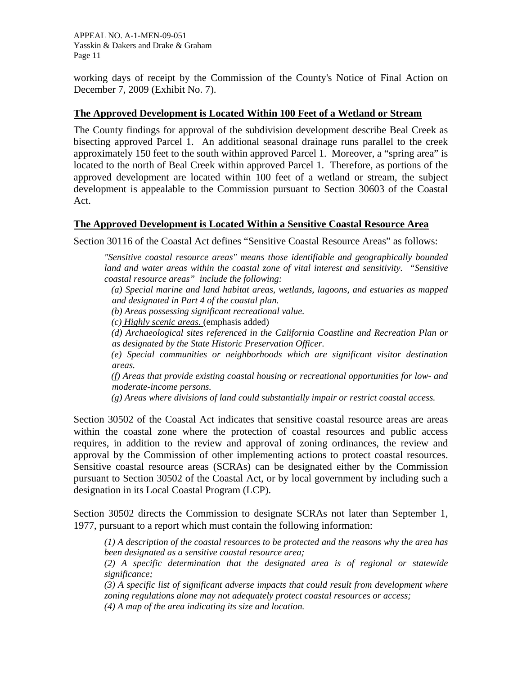APPEAL NO. A-1-MEN-09-051 Yasskin & Dakers and Drake & Graham Page 11

working days of receipt by the Commission of the County's Notice of Final Action on December 7, 2009 (Exhibit No. 7).

## **The Approved Development is Located Within 100 Feet of a Wetland or Stream**

The County findings for approval of the subdivision development describe Beal Creek as bisecting approved Parcel 1. An additional seasonal drainage runs parallel to the creek approximately 150 feet to the south within approved Parcel 1. Moreover, a "spring area" is located to the north of Beal Creek within approved Parcel 1. Therefore, as portions of the approved development are located within 100 feet of a wetland or stream, the subject development is appealable to the Commission pursuant to Section 30603 of the Coastal Act.

## **The Approved Development is Located Within a Sensitive Coastal Resource Area**

Section 30116 of the Coastal Act defines "Sensitive Coastal Resource Areas" as follows:

*"Sensitive coastal resource areas" means those identifiable and geographically bounded land and water areas within the coastal zone of vital interest and sensitivity. "Sensitive coastal resource areas" include the following:* 

 *(a) Special marine and land habitat areas, wetlands, lagoons, and estuaries as mapped and designated in Part 4 of the coastal plan.* 

 *(b) Areas possessing significant recreational value.* 

 *(c) Highly scenic areas.* (emphasis added)

 *(d) Archaeological sites referenced in the California Coastline and Recreation Plan or as designated by the State Historic Preservation Officer.* 

 *(e) Special communities or neighborhoods which are significant visitor destination areas.* 

 *(f) Areas that provide existing coastal housing or recreational opportunities for low- and moderate-income persons.* 

 *(g) Areas where divisions of land could substantially impair or restrict coastal access.* 

Section 30502 of the Coastal Act indicates that sensitive coastal resource areas are areas within the coastal zone where the protection of coastal resources and public access requires, in addition to the review and approval of zoning ordinances, the review and approval by the Commission of other implementing actions to protect coastal resources. Sensitive coastal resource areas (SCRAs) can be designated either by the Commission pursuant to Section 30502 of the Coastal Act, or by local government by including such a designation in its Local Coastal Program (LCP).

Section 30502 directs the Commission to designate SCRAs not later than September 1, 1977, pursuant to a report which must contain the following information:

*(1) A description of the coastal resources to be protected and the reasons why the area has been designated as a sensitive coastal resource area;* 

*(2) A specific determination that the designated area is of regional or statewide significance;* 

*(3) A specific list of significant adverse impacts that could result from development where zoning regulations alone may not adequately protect coastal resources or access; (4) A map of the area indicating its size and location.*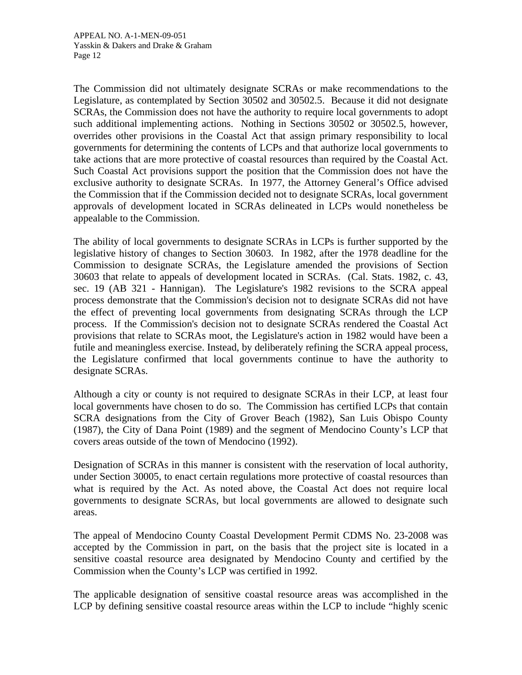The Commission did not ultimately designate SCRAs or make recommendations to the Legislature, as contemplated by Section 30502 and 30502.5. Because it did not designate SCRAs, the Commission does not have the authority to require local governments to adopt such additional implementing actions. Nothing in Sections 30502 or 30502.5, however, overrides other provisions in the Coastal Act that assign primary responsibility to local governments for determining the contents of LCPs and that authorize local governments to take actions that are more protective of coastal resources than required by the Coastal Act. Such Coastal Act provisions support the position that the Commission does not have the exclusive authority to designate SCRAs. In 1977, the Attorney General's Office advised the Commission that if the Commission decided not to designate SCRAs, local government approvals of development located in SCRAs delineated in LCPs would nonetheless be appealable to the Commission.

The ability of local governments to designate SCRAs in LCPs is further supported by the legislative history of changes to Section 30603. In 1982, after the 1978 deadline for the Commission to designate SCRAs, the Legislature amended the provisions of Section 30603 that relate to appeals of development located in SCRAs. (Cal. Stats. 1982, c. 43, sec. 19 (AB 321 - Hannigan). The Legislature's 1982 revisions to the SCRA appeal process demonstrate that the Commission's decision not to designate SCRAs did not have the effect of preventing local governments from designating SCRAs through the LCP process. If the Commission's decision not to designate SCRAs rendered the Coastal Act provisions that relate to SCRAs moot, the Legislature's action in 1982 would have been a futile and meaningless exercise. Instead, by deliberately refining the SCRA appeal process, the Legislature confirmed that local governments continue to have the authority to designate SCRAs.

Although a city or county is not required to designate SCRAs in their LCP, at least four local governments have chosen to do so. The Commission has certified LCPs that contain SCRA designations from the City of Grover Beach (1982), San Luis Obispo County (1987), the City of Dana Point (1989) and the segment of Mendocino County's LCP that covers areas outside of the town of Mendocino (1992).

Designation of SCRAs in this manner is consistent with the reservation of local authority, under Section 30005, to enact certain regulations more protective of coastal resources than what is required by the Act. As noted above, the Coastal Act does not require local governments to designate SCRAs, but local governments are allowed to designate such areas.

The appeal of Mendocino County Coastal Development Permit CDMS No. 23-2008 was accepted by the Commission in part, on the basis that the project site is located in a sensitive coastal resource area designated by Mendocino County and certified by the Commission when the County's LCP was certified in 1992.

The applicable designation of sensitive coastal resource areas was accomplished in the LCP by defining sensitive coastal resource areas within the LCP to include "highly scenic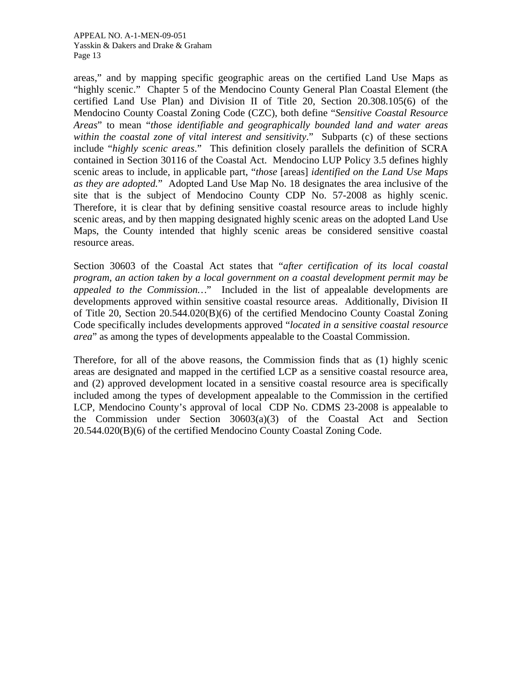APPEAL NO. A-1-MEN-09-051 Yasskin & Dakers and Drake & Graham Page 13

areas," and by mapping specific geographic areas on the certified Land Use Maps as "highly scenic." Chapter 5 of the Mendocino County General Plan Coastal Element (the certified Land Use Plan) and Division II of Title 20, Section 20.308.105(6) of the Mendocino County Coastal Zoning Code (CZC), both define "*Sensitive Coastal Resource Areas*" to mean "*those identifiable and geographically bounded land and water areas within the coastal zone of vital interest and sensitivity*." Subparts (c) of these sections include "*highly scenic areas*." This definition closely parallels the definition of SCRA contained in Section 30116 of the Coastal Act. Mendocino LUP Policy 3.5 defines highly scenic areas to include, in applicable part, "*those* [areas] *identified on the Land Use Maps as they are adopted.*" Adopted Land Use Map No. 18 designates the area inclusive of the site that is the subject of Mendocino County CDP No. 57-2008 as highly scenic. Therefore, it is clear that by defining sensitive coastal resource areas to include highly scenic areas, and by then mapping designated highly scenic areas on the adopted Land Use Maps, the County intended that highly scenic areas be considered sensitive coastal resource areas.

Section 30603 of the Coastal Act states that "*after certification of its local coastal program, an action taken by a local government on a coastal development permit may be appealed to the Commission…*" Included in the list of appealable developments are developments approved within sensitive coastal resource areas. Additionally, Division II of Title 20, Section 20.544.020(B)(6) of the certified Mendocino County Coastal Zoning Code specifically includes developments approved "*located in a sensitive coastal resource area*" as among the types of developments appealable to the Coastal Commission.

Therefore, for all of the above reasons, the Commission finds that as (1) highly scenic areas are designated and mapped in the certified LCP as a sensitive coastal resource area, and (2) approved development located in a sensitive coastal resource area is specifically included among the types of development appealable to the Commission in the certified LCP, Mendocino County's approval of local CDP No. CDMS 23-2008 is appealable to the Commission under Section 30603(a)(3) of the Coastal Act and Section 20.544.020(B)(6) of the certified Mendocino County Coastal Zoning Code.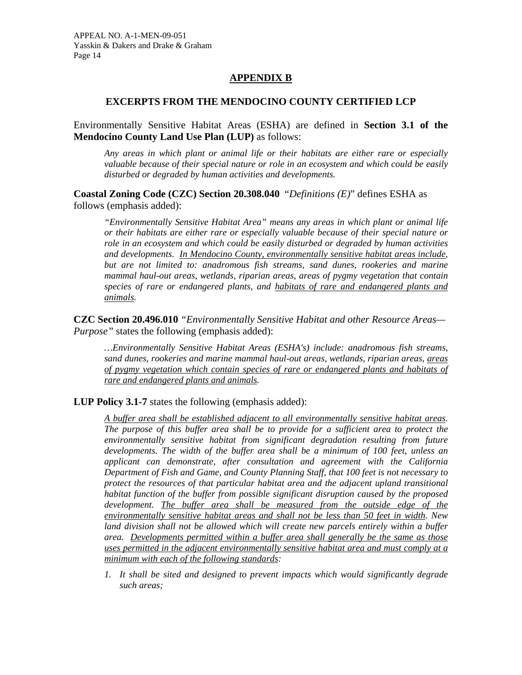## **APPENDIX B**

## **EXCERPTS FROM THE MENDOCINO COUNTY CERTIFIED LCP**

Environmentally Sensitive Habitat Areas (ESHA) are defined in **Section 3.1 of the Mendocino County Land Use Plan (LUP)** as follows:

*Any areas in which plant or animal life or their habitats are either rare or especially valuable because of their special nature or role in an ecosystem and which could be easily disturbed or degraded by human activities and developments.* 

**Coastal Zoning Code (CZC) Section 20.308.040** "*Definitions (E)*" defines ESHA as follows (emphasis added):

*"Environmentally Sensitive Habitat Area" means any areas in which plant or animal life or their habitats are either rare or especially valuable because of their special nature or role in an ecosystem and which could be easily disturbed or degraded by human activities and developments. In Mendocino County, environmentally sensitive habitat areas include, but are not limited to: anadromous fish streams, sand dunes, rookeries and marine mammal haul-out areas, wetlands, riparian areas, areas of pygmy vegetation that contain species of rare or endangered plants, and habitats of rare and endangered plants and animals.* 

**CZC Section 20.496.010** *"Environmentally Sensitive Habitat and other Resource Areas— Purpose"* states the following (emphasis added):

*…Environmentally Sensitive Habitat Areas (ESHA's) include: anadromous fish streams, sand dunes, rookeries and marine mammal haul-out areas, wetlands, riparian areas, areas of pygmy vegetation which contain species of rare or endangered plants and habitats of rare and endangered plants and animals.* 

**LUP Policy 3.1-7** states the following (emphasis added):

*A buffer area shall be established adjacent to all environmentally sensitive habitat areas. The purpose of this buffer area shall be to provide for a sufficient area to protect the environmentally sensitive habitat from significant degradation resulting from future developments. The width of the buffer area shall be a minimum of 100 feet, unless an applicant can demonstrate, after consultation and agreement with the California Department of Fish and Game, and County Planning Staff, that 100 feet is not necessary to protect the resources of that particular habitat area and the adjacent upland transitional habitat function of the buffer from possible significant disruption caused by the proposed development. The buffer area shall be measured from the outside edge of the environmentally sensitive habitat areas and shall not be less than 50 feet in width. New land division shall not be allowed which will create new parcels entirely within a buffer area. Developments permitted within a buffer area shall generally be the same as those uses permitted in the adjacent environmentally sensitive habitat area and must comply at a minimum with each of the following standards:* 

*1. It shall be sited and designed to prevent impacts which would significantly degrade such areas;*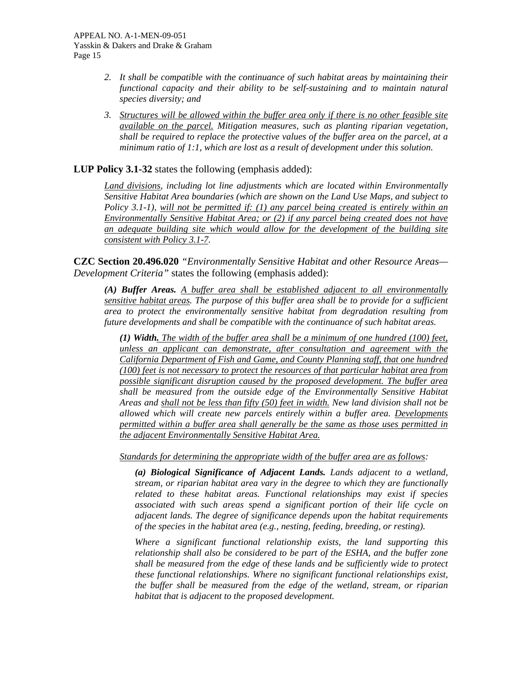- *2. It shall be compatible with the continuance of such habitat areas by maintaining their functional capacity and their ability to be self-sustaining and to maintain natural species diversity; and*
- *3. Structures will be allowed within the buffer area only if there is no other feasible site available on the parcel. Mitigation measures, such as planting riparian vegetation, shall be required to replace the protective values of the buffer area on the parcel, at a minimum ratio of 1:1, which are lost as a result of development under this solution.*

**LUP Policy 3.1-32** states the following (emphasis added):

*Land divisions, including lot line adjustments which are located within Environmentally Sensitive Habitat Area boundaries (which are shown on the Land Use Maps, and subject to Policy 3.1-1), will not be permitted if: (1) any parcel being created is entirely within an Environmentally Sensitive Habitat Area; or (2) if any parcel being created does not have an adequate building site which would allow for the development of the building site consistent with Policy 3.1-7.* 

**CZC Section 20.496.020** *"Environmentally Sensitive Habitat and other Resource Areas— Development Criteria"* states the following (emphasis added):

*(A) Buffer Areas. A buffer area shall be established adjacent to all environmentally sensitive habitat areas. The purpose of this buffer area shall be to provide for a sufficient area to protect the environmentally sensitive habitat from degradation resulting from future developments and shall be compatible with the continuance of such habitat areas.* 

*(1) Width. The width of the buffer area shall be a minimum of one hundred (100) feet, unless an applicant can demonstrate, after consultation and agreement with the California Department of Fish and Game, and County Planning staff, that one hundred (100) feet is not necessary to protect the resources of that particular habitat area from possible significant disruption caused by the proposed development. The buffer area shall be measured from the outside edge of the Environmentally Sensitive Habitat Areas and shall not be less than fifty (50) feet in width. New land division shall not be allowed which will create new parcels entirely within a buffer area. Developments permitted within a buffer area shall generally be the same as those uses permitted in the adjacent Environmentally Sensitive Habitat Area.*

*Standards for determining the appropriate width of the buffer area are as follows:* 

*(a) Biological Significance of Adjacent Lands. Lands adjacent to a wetland, stream, or riparian habitat area vary in the degree to which they are functionally related to these habitat areas. Functional relationships may exist if species associated with such areas spend a significant portion of their life cycle on adjacent lands. The degree of significance depends upon the habitat requirements of the species in the habitat area (e.g., nesting, feeding, breeding, or resting).* 

*Where a significant functional relationship exists, the land supporting this relationship shall also be considered to be part of the ESHA, and the buffer zone shall be measured from the edge of these lands and be sufficiently wide to protect these functional relationships. Where no significant functional relationships exist, the buffer shall be measured from the edge of the wetland, stream, or riparian habitat that is adjacent to the proposed development.*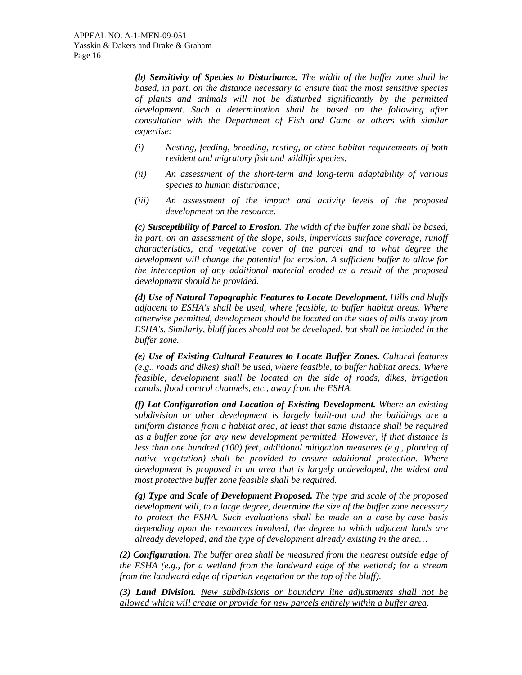*(b) Sensitivity of Species to Disturbance. The width of the buffer zone shall be based, in part, on the distance necessary to ensure that the most sensitive species of plants and animals will not be disturbed significantly by the permitted development. Such a determination shall be based on the following after consultation with the Department of Fish and Game or others with similar expertise:* 

- *(i) Nesting, feeding, breeding, resting, or other habitat requirements of both resident and migratory fish and wildlife species;*
- *(ii) An assessment of the short-term and long-term adaptability of various species to human disturbance;*
- *(iii) An assessment of the impact and activity levels of the proposed development on the resource.*

*(c) Susceptibility of Parcel to Erosion. The width of the buffer zone shall be based, in part, on an assessment of the slope, soils, impervious surface coverage, runoff characteristics, and vegetative cover of the parcel and to what degree the development will change the potential for erosion. A sufficient buffer to allow for the interception of any additional material eroded as a result of the proposed development should be provided.* 

*(d) Use of Natural Topographic Features to Locate Development. Hills and bluffs adjacent to ESHA's shall be used, where feasible, to buffer habitat areas. Where otherwise permitted, development should be located on the sides of hills away from ESHA's. Similarly, bluff faces should not be developed, but shall be included in the buffer zone.* 

*(e) Use of Existing Cultural Features to Locate Buffer Zones. Cultural features (e.g., roads and dikes) shall be used, where feasible, to buffer habitat areas. Where feasible, development shall be located on the side of roads, dikes, irrigation canals, flood control channels, etc., away from the ESHA.* 

*(f) Lot Configuration and Location of Existing Development. Where an existing subdivision or other development is largely built-out and the buildings are a uniform distance from a habitat area, at least that same distance shall be required as a buffer zone for any new development permitted. However, if that distance is less than one hundred (100) feet, additional mitigation measures (e.g., planting of native vegetation) shall be provided to ensure additional protection. Where development is proposed in an area that is largely undeveloped, the widest and most protective buffer zone feasible shall be required.* 

*(g) Type and Scale of Development Proposed. The type and scale of the proposed development will, to a large degree, determine the size of the buffer zone necessary to protect the ESHA. Such evaluations shall be made on a case-by-case basis depending upon the resources involved, the degree to which adjacent lands are already developed, and the type of development already existing in the area…* 

*(2) Configuration. The buffer area shall be measured from the nearest outside edge of the ESHA (e.g., for a wetland from the landward edge of the wetland; for a stream from the landward edge of riparian vegetation or the top of the bluff).* 

*(3) Land Division. New subdivisions or boundary line adjustments shall not be allowed which will create or provide for new parcels entirely within a buffer area.*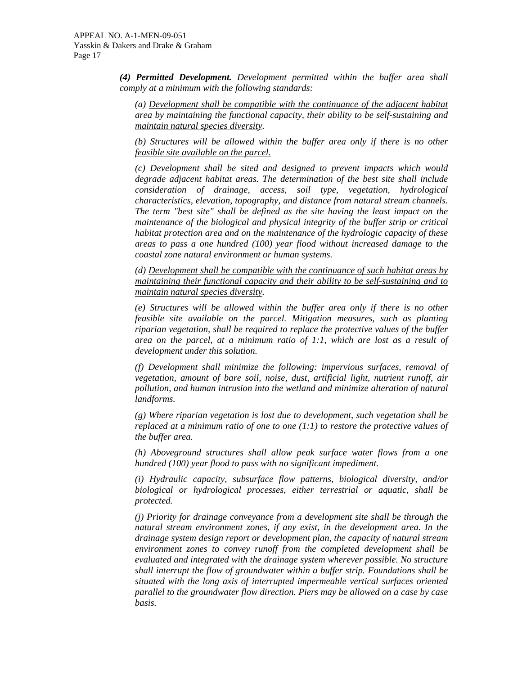*(4) Permitted Development. Development permitted within the buffer area shall comply at a minimum with the following standards:* 

*(a) Development shall be compatible with the continuance of the adjacent habitat area by maintaining the functional capacity, their ability to be self-sustaining and maintain natural species diversity.* 

*(b) Structures will be allowed within the buffer area only if there is no other feasible site available on the parcel.*

*(c) Development shall be sited and designed to prevent impacts which would degrade adjacent habitat areas. The determination of the best site shall include consideration of drainage, access, soil type, vegetation, hydrological characteristics, elevation, topography, and distance from natural stream channels. The term "best site" shall be defined as the site having the least impact on the maintenance of the biological and physical integrity of the buffer strip or critical habitat protection area and on the maintenance of the hydrologic capacity of these areas to pass a one hundred (100) year flood without increased damage to the coastal zone natural environment or human systems.* 

*(d) Development shall be compatible with the continuance of such habitat areas by maintaining their functional capacity and their ability to be self-sustaining and to maintain natural species diversity.* 

*(e) Structures will be allowed within the buffer area only if there is no other feasible site available on the parcel. Mitigation measures, such as planting riparian vegetation, shall be required to replace the protective values of the buffer area on the parcel, at a minimum ratio of 1:1, which are lost as a result of development under this solution.* 

*(f) Development shall minimize the following: impervious surfaces, removal of vegetation, amount of bare soil, noise, dust, artificial light, nutrient runoff, air pollution, and human intrusion into the wetland and minimize alteration of natural landforms.* 

*(g) Where riparian vegetation is lost due to development, such vegetation shall be replaced at a minimum ratio of one to one (1:1) to restore the protective values of the buffer area.* 

*(h) Aboveground structures shall allow peak surface water flows from a one hundred (100) year flood to pass with no significant impediment.* 

*(i) Hydraulic capacity, subsurface flow patterns, biological diversity, and/or biological or hydrological processes, either terrestrial or aquatic, shall be protected.* 

*(j) Priority for drainage conveyance from a development site shall be through the natural stream environment zones, if any exist, in the development area. In the drainage system design report or development plan, the capacity of natural stream environment zones to convey runoff from the completed development shall be evaluated and integrated with the drainage system wherever possible. No structure shall interrupt the flow of groundwater within a buffer strip. Foundations shall be situated with the long axis of interrupted impermeable vertical surfaces oriented parallel to the groundwater flow direction. Piers may be allowed on a case by case basis.*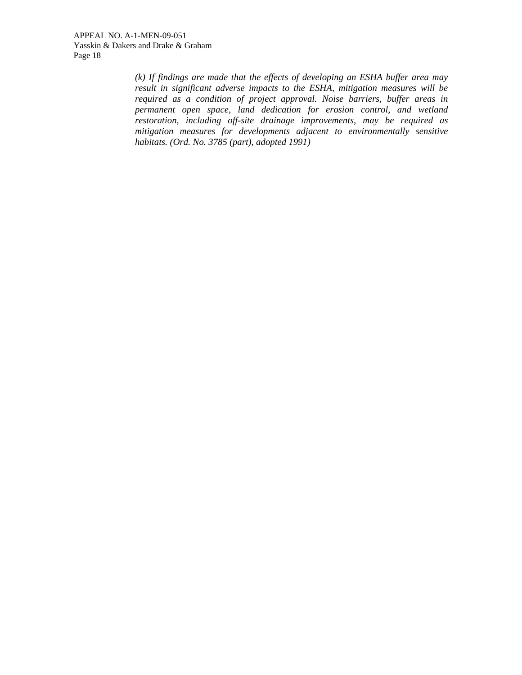*(k) If findings are made that the effects of developing an ESHA buffer area may result in significant adverse impacts to the ESHA, mitigation measures will be required as a condition of project approval. Noise barriers, buffer areas in permanent open space, land dedication for erosion control, and wetland restoration, including off-site drainage improvements, may be required as mitigation measures for developments adjacent to environmentally sensitive habitats. (Ord. No. 3785 (part), adopted 1991)*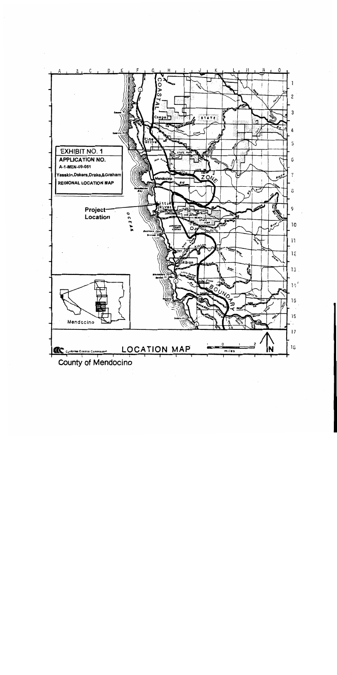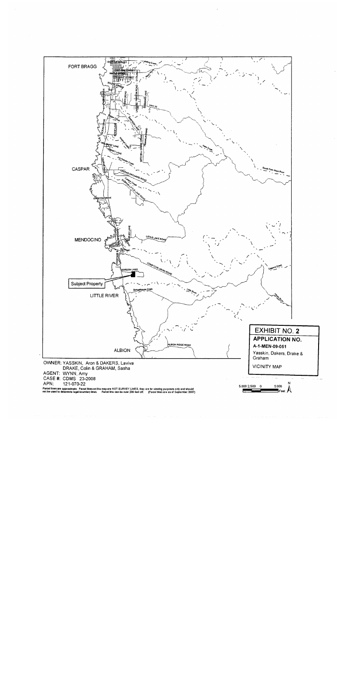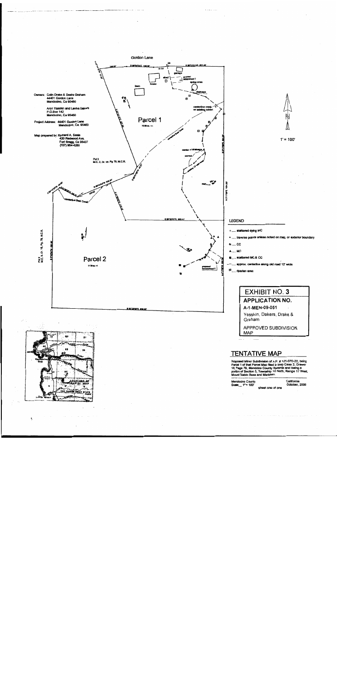

ţ.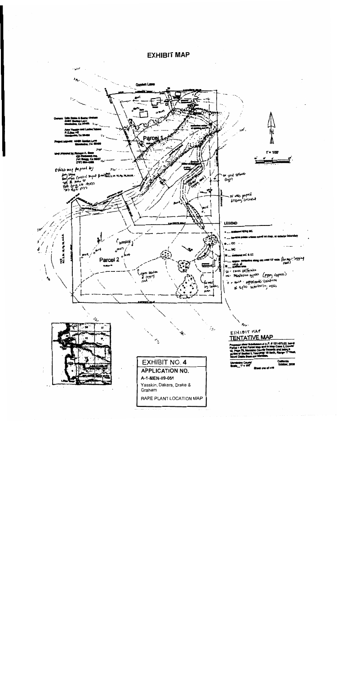

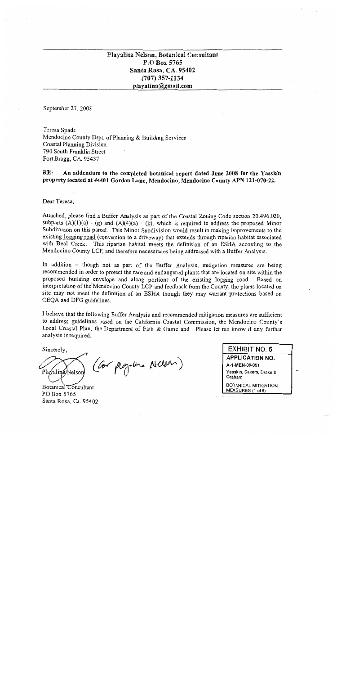## Playalina Nelson, Botanical Consultant P.O Box 5765 Santa Rosa, CA. 95402  $(707)$  357-1134 playalina@gmail.com

September 27, 2008

Teresa Spade Mendocino County Dept. of Planning & Building Services Coastal Planning Division 790 South Franklin Street Fort Bragg, CA. 95437

RE: An addendum to the completed botanical report dated June 2008 for the Yasskin property located at 44401 Gordon Lane, Mendocino, Mendocino County APN 121-070-22.

Dear Teresa.

Attached, please find a Buffer Analysis as part of the Coastal Zoning Code section 20.496.020, subparts  $(A)(1)(a) - (g)$  and  $(A)(4)(a) - (k)$ , which is required to address the proposed Minor Subdivision on this parcel. This Minor Subdivision would result in making improvements to the existing logging road (conversion to a driveway) that extends through riparian habitat associated with Beal Creek. This riparian habitat meets the definition of an ESHA according to the Mendocino County LCP, and therefore necessitates being addressed with a Buffer Analysis.

In addition - though not as part of the Buffer Analysis, mitigation measures are being recommended in order to protect the rare and endangered plants that are located on site within the proposed building envelope and along portions of the existing logging road. Based on interpretation of the Mendocino County LCP and feedback from the County, the plants located on site may not meet the definition of an ESHA though they may warrant protections based on CEQA and DFG guidelines.

I believe that the following Buffer Analysis and recommended mitigation measures are sufficient to address guidelines based on the California Coastal Commission, the Mendocino County's Local Coastal Plan, the Department of Fish & Game and. Please let me know if any further analysis is required.

Sincerely,

(Cor ploguma Nelson) Plavalina/Nelsor

Botanical Consultant PO Box 5765 Santa Rosa, Ca. 95402

**EXHIBIT NO. 5 APPLICATION NO.** A-1-MEN-09-051 Yasskin, Dakers, Drake & Graham

BOTANICAL MITIGATION MEASURES (1 of 6)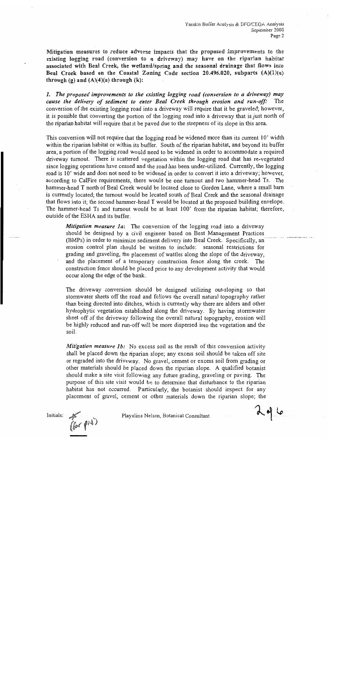Mitigation measures to reduce adverse impacts that the proposed improvements to the existing logging road (conversion to a driveway) may have on the riparian habitat associated with Beal Creek, the wetland/spring and the seasonal drainage that flows into Beal Creek based on the Coastal Zoning Code section 20.496.020, subparts (A)(1)(a) through (g) and  $(A)(4)(a)$  through  $(k)$ :

1. The proposed improvements to the existing logging road (conversion to a driveway) may cause the delivery of sediment to enter Beal Creek through erosion and run-off: The conversion of the existing logging road into a driveway will require that it be graveled; however, it is possible that converting the portion of the logging road into a driveway that is just north of the riparian habitat will require that it be paved due to the steepness of its slope in this area.

This conversion will not require that the logging road be widened more than its current 10' width within the riparian habitat or within its buffer. South of the riparian habitat, and beyond its buffer area, a portion of the logging road would need to be widened in order to accommodate a required driveway turnout. There is scattered vegetation within the logging road that has re-vegetated since logging operations have ceased and the road has been under-utilized. Currently, the logging road is 10' wide and does not need to be widened in order to convert it into a driveway; however, according to CalFire requirements, there would be one turnout and two hammer-head Ts. The hammer-head T north of Beal Creek would be located close to Gordon Lane, where a small barn is currently located; the turnout would be located south of Beal Creek and the seasonal drainage that flows into it; the second hammer-head T would be located at the proposed building envelope. The hammer-head Ts and turnout would be at least 100' from the riparian habitat; therefore, outside of the ESHA and its buffer.

**Mitigation measure 1a:** The conversion of the logging road into a driveway should be designed by a civil engineer based on Best Management Practices (BMPs) in order to minimize sediment delivery into Beal Creek. Specifically, an erosion control plan should be written to include: seasonal restrictions for grading and graveling, the placement of wattles along the slope of the driveway, and the placement of a temporary construction fence along the creek. The construction fence should be placed prior to any development activity that would occur along the edge of the bank.

The driveway conversion should be designed utilizing out-sloping so that stormwater sheets off the road and follows the overall natural topography rather than being directed into ditches, which is currently why there are alders and other hydrophytic vegetation established along the driveway. By having stormwater sheet off of the driveway following the overall natural topography, erosion will be highly reduced and run-off will be more dispersed into the vegetation and the soil.

*Mitigation measure 1b:* No excess soil as the result of this conversion activity shall be placed down the riparian slope; any excess soil should be taken off site or regraded into the driveway. No gravel, cement or excess soil from grading or other materials should be placed down the riparian slope. A qualified botanist should make a site visit following any future grading, graveling or paving. The purpose of this site visit would be to determine that disturbance to the riparian habitat has not occurred. Particularly, the botanist should inspect for any placement of gravel, cement or other materials down the riparian slope; the



Playalina Nelson, Botanical Consultant

2016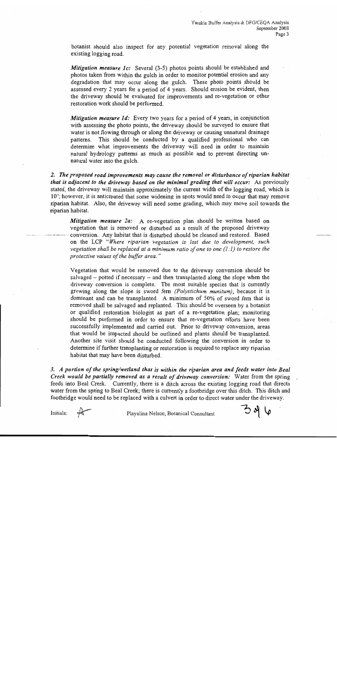botanist should also inspect for any potential vegetation removal along the existing logging road.

Mitigation measure 1c: Several (3-5) photos points should be established and photos taken from within the gulch in order to monitor potential erosion and any degradation that may occur along the gulch. These photo points should be assessed every 2 years for a period of 4 years. Should erosion be evident, then the driveway should be evaluated for improvements and re-vegetation or other restoration work should be performed.

**Mitigation measure 1d:** Every two years for a period of 4 years, in conjunction with assessing the photo points, the driveway should be surveyed to ensure that water is not flowing through or along the driveway or causing unnatural drainage patterns. This should be conducted by a qualified professional who can determine what improvements the driveway will need in order to maintain natural hydrology patterns as much as possible and to prevent directing unnatural water into the gulch.

2. The proposed road improvements may cause the removal or disturbance of riparian habitat that is adjacent to the driveway based on the minimal grading that will occur: As previously stated, the driveway will maintain approximately the current width of the logging road, which is 10'; however, it is anticipated that some widening in spots would need to occur that may remove riparian habitat. Also, the driveway will need some grading, which may move soil towards the riparian habitat.

**Mitigation measure 2a:** A re-vegetation plan should be written based on vegetation that is removed or disturbed as a result of the proposed driveway conversion. Any habitat that is disturbed should be cleaned and restored. Based on the LCP "Where riparian vegetation is lost due to development, such vegetation shall be replaced at a minimum ratio of one to one  $(l:1)$  to restore the protective values of the buffer area."

Vegetation that would be removed due to the driveway conversion should be salvaged  $-$  potted if necessary  $-$  and then transplanted along the slope when the driveway conversion is complete. The most suitable species that is currently growing along the slope is sword fern (Polystichum munitum), because it is dominant and can be transplanted. A minimum of 50% of sword ferm that is removed shall be salvaged and replanted. This should be overseen by a botanist or qualified restoration biologist as part of a re-vegetation plan; monitoring should be performed in order to ensure that re-vegetation efforts have been successfully implemented and carried out. Prior to driveway conversion, areas that would be impacted should be outlined and plants should be transplanted. Another site visit should be conducted following the conversion in order to determine if further transplanting or restoration is required to replace any riparian habitat that may have been disturbed.

3. A portion of the spring/wetland that is within the riparian area and feeds water into Beal Creek would be partially removed as a result of driveway conversion: Water from the spring feeds into Beal Creek. Currently, there is a ditch across the existing logging road that directs water from the spring to Beal Creek; there is currently a footbridge over this ditch. This ditch and footbridge would need to be replaced with a culvert in order to direct water under the driveway.

Initials:

Plavalina Nelson, Botanical Consultant

ろりし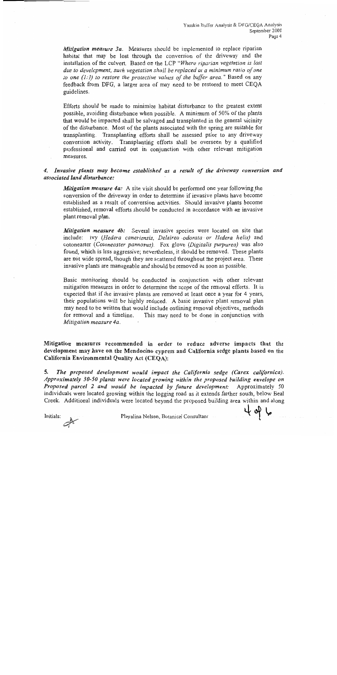Mitigation measure 3a. Measures should be implemented to replace riparian habitat that may be lost through the conversion of the driveway and the installation of the culvert. Based on the LCP "Where riparian vegetation is lost due to development, such vegetation shall be replaced at a minimum ratio of one to one  $(1:1)$  to restore the protective values of the buffer area." Based on any feedback from DFG, a larger area of may need to be restored to meet CEQA guidelines.

Efforts should be made to minimize habitat disturbance to the greatest extent possible, avoiding disturbance when possible. A minimum of 50% of the plants that would be impacted shall be salvaged and transplanted in the general vicinity of the disturbance. Most of the plants associated with the spring are suitable for transplanting. Transplanting efforts shall be assessed prior to any driveway conversion activity. Transplanting efforts shall be overseen by a qualified professional and carried out in conjunction with other relevant mitigation measures.

#### 4. Invasive plants may become established as a result of the driveway conversion and associated land disturbance:

Mitigation measure 4a: A site visit should be performed one year following the conversion of the driveway in order to determine if invasive plants have become established as a result of conversion activities. Should invasive plants become established, removal efforts should be conducted in accordance with an invasive plant removal plan.

Mitigation measure 4b: Several invasive species were located on site that include: ivy (Hedera caneriensis, Delairea-odorata or Hedera helix) and cotoneaster (Cotoneaster pannosus). Fox glove (Digitalis purpurea) was also found, which is less aggressive; nevertheless, it should be removed. These plants are not wide spread, though they are scattered throughout the project area. These invasive plants are manageable and should be removed as soon as possible.

Basic monitoring should be conducted in conjunction with other relevant mitigation measures in order to determine the scope of the removal efforts. It is expected that if the invasive plants are removed at least once a year for 4 years, their populations will be highly reduced. A basic invasive plant removal plan may need to be written that would include outlining removal objectives, methods for removal and a timeline. This may need to be done in conjunction with Mitigation measure 4a.

Mitigation measures recommended in order to reduce adverse impacts that the development may have on the Mendocino cypress and California sedge plants based on the California Environmental Quality Act (CEQA):

5. The proposed development would impact the California sedge (Carex californica). Approximately 30-50 plants were located growing within the proposed building envelope on Proposed parcel 2 and would be impacted by future development: Approximately 50 individuals were located growing within the logging road as it extends farther south, below Beal Creek. Additional individuals were located beyond the proposed building area within and along

Initials:

Playalina Nelson, Botanical Consultant

 $496$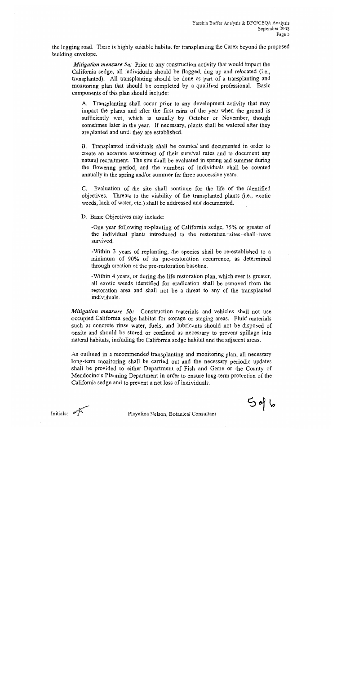the logging road. There is highly suitable habitat for transplanting the Carex beyond the proposed building envelope.

**Mitigation measure 5a:** Prior to any construction activity that would impact the California sedge, all individuals should be flagged, dug up and relocated (i.e., transplanted). All transplanting should be done as part of a transplanting and monitoring plan that should be completed by a qualified professional. Basic components of this plan should include:

A. Transplanting shall occur prior to any development activity that may impact the plants and after the first rains of the year when the ground is sufficiently wet, which is usually by October or November, though sometimes later in the year. If necessary, plants shall be watered after they are planted and until they are established.

B. Transplanted individuals shall be counted and documented in order to create an accurate assessment of their survival rates and to document any natural recruitment. The site shall be evaluated in spring and summer during the flowering period, and the numbers of individuals shall be counted annually in the spring and/or summer for three successive years.

C. Evaluation of the site shall continue for the life of the identified objectives. Threats to the viability of the transplanted plants (i.e., exotic weeds, lack of water, etc.) shall be addressed and documented.

D. Basic Objectives may include:

-One year following re-planting of California sedge, 75% or greater of the individual plants introduced to the restoration-sites-shall-have survived.

-Within 3 years of replanting, the species shall be re-established to a minimum of 90% of its pre-restoration occurrence, as determined through creation of the pre-restoration baseline.

-Within 4 years, or during the life restoration plan, which ever is greater, all exotic weeds identified for eradication shall be removed from the restoration area and shall not be a threat to any of the transplanted individuals.

*Mitigation measure 5b:* Construction materials and vehicles shall not use occupied California sedge habitat for storage or staging areas. Fluid materials such as concrete rinse water, fuels, and lubricants should not be disposed of onsite and should be stored or confined as necessary to prevent spillage into natural habitats, including the California sedge habitat and the adjacent areas.

As outlined in a recommended transplanting and monitoring plan, all necessary long-term monitoring shall be carried out and the necessary periodic updates shall be provided to either Department of Fish and Game or the County of Mendocino's Planning Department in order to ensure long-term protection of the California sedge and to prevent a net loss of individuals.

 $546$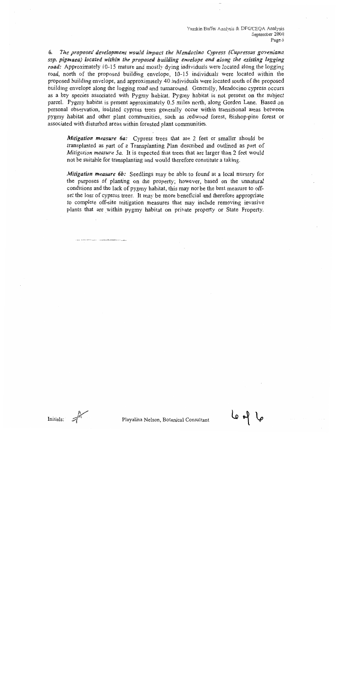Yasskin Buffer Analysis & DFG/CEQA Analysis September 2008 Page 6

б. The proposed development would impact the Mendocino Cypress (Cupressus goveniana ssp. pigmaea) located within the proposed building envelope and along the existing logging road: Approximately 10-15 mature and mostly dying individuals were located along the logging road, north of the proposed building envelope, 10-15 individuals were located within the proposed building envelope, and approximately 40 individuals were located south of the proposed building envelope along the logging road and turnaround. Generally, Mendocino cypress occurs as a key species associated with Pygmy habitat. Pygmy habitat is not present on the subject parcel. Pygmy habitat is present approximately 0.5 miles north, along Gordon Lane. Based on personal observation, isolated cypress trees generally occur within transitional areas between pygmy habitat and other plant communities, such as redwood forest, Bishop-pine forest or associated with disturbed areas within forested plant communities.

Mitigation measure 6a: Cypress trees that are 2 feet or smaller should be transplanted as part of a Transplanting Plan described and outlined as part of Mitigation measure 5a. It is expected that trees that are larger than 2 feet would not be suitable for transplanting and would therefore constitute a taking.

Mitigation measure 6b: Seedlings may be able to found at a local nursery for the purposes of planting on the property; however, based on the unnatural conditions and the lack of pygmy habitat, this may not be the best measure to offset the loss of cypress trees. It may be more beneficial and therefore appropriate to complete off-site mitigation measures that may include removing invasive plants that are within pygmy habitat on private property or State Property.

ہا ہو عا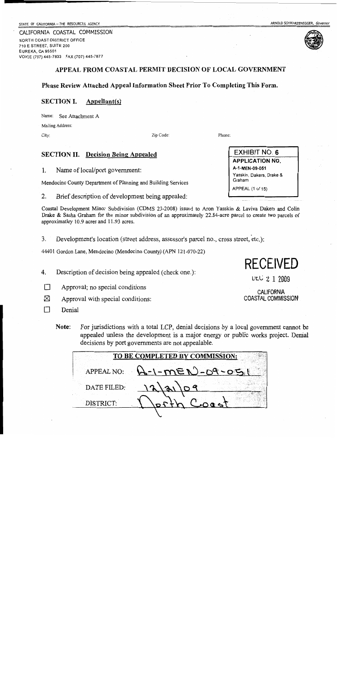STATE OF CALIFORNIA -- THE RESOURCES AGENCY

CALIFORNIA COASTAL COMMISSION NORTH COAST DISTRICT OFFICE 710 E STREET, SUITE 200 EUREKA, CA 95501 VOICE (707) 445-7833 FAX (707) 445-7877

## APPEAL FROM COASTAL PERMIT DECISION OF LOCAL GOVERNMENT

### Please Review Attached Appeal Information Sheet Prior To Completing This Form.

#### **SECTION I.** Appellant(s)

Name: See Attachment A

Mailing Address:

City:

Zip Code:

## **SECTION II.** Decision Being Appealed

1. Name of local/port government:

Mendocino County Department of Planning and Building Services

2. Brief description of development being appealed:

Coastal Development Minor Subdivision (CDMS 23-2008) issued to Aron Yasskin & Laviva Dakers and Colin Drake & Sasha Graham for the minor subdivision of an approximately 22.84-acre parcel to create two parcels of approximatley 10.9 acres and 11.93 acres.

3. Development's location (street address, assessor's parcel no., cross street, etc.):

44401 Gordon Lane, Mendocino (Mendocino County) (APN 121-070-22)

- 4. Description of decision being appealed (check one.):
- П Approval; no special conditions
- ⊠ Approval with special conditions:
- П Denial
	- Note: For jurisdictions with a total LCP, denial decisions by a local government cannot be appealed unless the development is a major energy or public works project. Denial decisions by port governments are not appealable.

| TO BE COMPLETED BY COMMISSION: |                                     |  |  |  |  |  |
|--------------------------------|-------------------------------------|--|--|--|--|--|
|                                | APPEAL NO: $A - 1 - mE N - Oq - O5$ |  |  |  |  |  |
| DATE FILED:                    | 12/a1<br>69                         |  |  |  |  |  |
| DISTRICT:                      | $f_{\text{e}}$ Coost                |  |  |  |  |  |
|                                |                                     |  |  |  |  |  |

**EXHIBIT NO. 6 APPLICATION NO.** A-1-MEN-09-051 Yasskin, Dakers, Drake & Graham APPEAL (1 of 15)

**RECEIVED** 

ULC 2 1 2009

**CALIFORNIA** 

COASTAL COMMISSION



Phone:

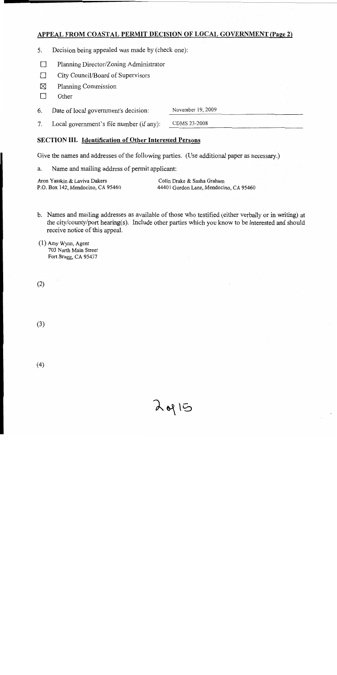## APPEAL FROM COASTAL PERMIT DECISION OF LOCAL GOVERNMENT (Page 2)

- 5. Decision being appealed was made by (check one):
- $\Box$ Planning Director/Zoning Administrator
- $\Box$ City Council/Board of Supervisors
- ⊠ Planning Commission
- $\Box$ Other

6. Date of local government's decision:

November 19, 2009

CDMS 23-2008  $7<sub>1</sub>$ Local government's file number (if any):

## **SECTION III. Identification of Other Interested Persons**

Give the names and addresses of the following parties. (Use additional paper as necessary.)

Name and mailing address of permit applicant: a.

Aron Yasskin & Laviva Dakers P.O. Box 142, Mendocino, CA 95460

Colin Drake & Sasha Graham 44401 Gordon Lane, Mendocino, CA 95460

b. Names and mailing addresses as available of those who testified (either verbally or in writing) at the city/county/port hearing(s). Include other parties which you know to be interested and should receive notice of this appeal.

 $\lambda$  of  $15$ 

 $(1)$  Amy Wynn, Agent 703 North Main Street Fort Bragg, CA 95437

 $(2)$ 

 $(3)$ 

 $(4)$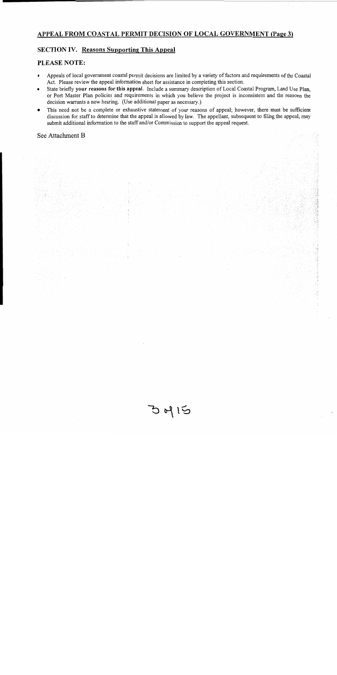## APPEAL FROM COASTAL PERMIT DECISION OF LOCAL GOVERNMENT (Page 3)

## **SECTION IV. Reasons Supporting This Appeal**

#### **PLEASE NOTE:**

- Appeals of local government coastal permit decisions are limited by a variety of factors and requirements of the Coastal  $\bullet$ Act. Please review the appeal information sheet for assistance in completing this section.
- State briefly your reasons for this appeal. Include a summary description of Local Coastal Program, Land Use Plan, or Port Master Plan policies and requirements in which you believe the project is inconsistent and the reasons the decision warrants a new hearing. (Use additional paper as necessary.)
- This need not be a complete or exhaustive statement of your reasons of appeal; however, there must be sufficient  $\bullet$ discussion for staff to determine that the appeal is allowed by law. The appellant, subsequent to filing the appeal, may submit additional information to the staff and/or Commission to support the appeal request.

#### See Attachment B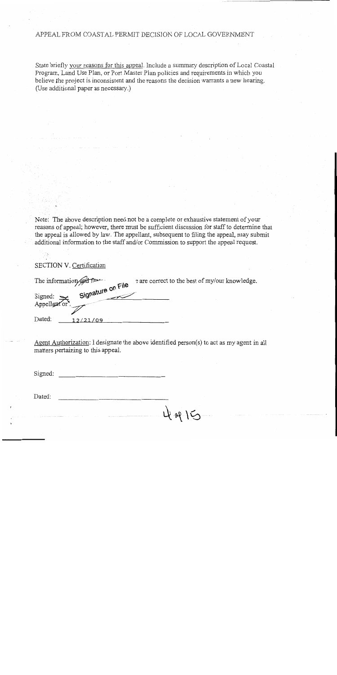### APPEAL FROM COASTAL PERMIT DECISION OF LOCAL GOVERNMENT

State briefly your reasons for this appeal. Include a summary description of Local Coastal Program, Land Use Plan, or Port Master Plan policies and requirements in which you believe the project is inconsistent and the reasons the decision warrants a new hearing. (Use additional paper as necessary.)

Note: The above description need not be a complete or exhaustive statement of your reasons of appeal; however, there must be sufficient discussion for staff to determine that the appeal is allowed by law. The appellant, subsequent to filing the appeal, may submit additional information to the staff and/or Commission to support the appeal request.

### SECTION V. Certification

| The information and family                   | e are correct to the best of my/our knowledge. |  |  |
|----------------------------------------------|------------------------------------------------|--|--|
| Signature on File<br>Signed:<br>Appellant or |                                                |  |  |
|                                              |                                                |  |  |
| Dated:<br>12/21/09                           |                                                |  |  |

Agent Authorization: I designate the above identified person(s) to act as my agent in all matters pertaining to this appeal.

4-14 15

Signed:

Dated: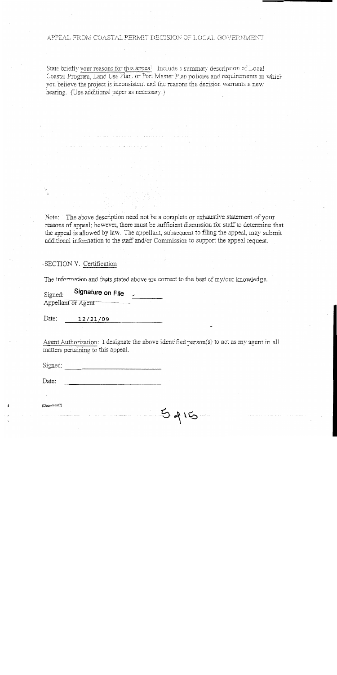#### APPEAL FROM COASTAL PERMIT DECISION OF LOCAL GOVERNMENT

State briefly your reasons for this appeal. Include a summary description of Local Coastal Program, Land Use Plan, or Port Master Plan policies and requirements in which you believe the project is inconsistent and the reasons the decision warrants a new hearing. (Use additional paper as necessary.)

The above description need not be a complete or exhaustive statement of your Note: reasons of appeal; however, there must be sufficient discussion for staff to determine that the appeal is allowed by law. The appellant, subsequent to filing the appeal, may submit additional information to the staff and/or Commission to support the appeal request.

-SECTION V. Certification

The information and facts stated above are correct to the best of my/our knowledge.

Signature on File Signed: Appellant or Agent

Date:  $12/21/09$ 

Agent Authorization: I designate the above identified person(s) to act as my agent in all matters pertaining to this appeal.

 $5415$ 

Signed:

Date:

(Document<sub>2</sub>)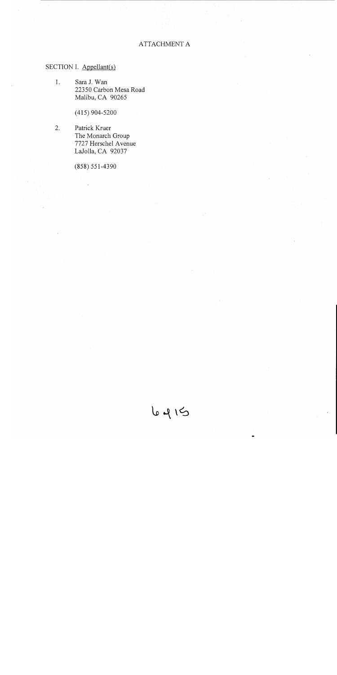## **ATTACHMENT A**

## SECTION I. Appellant(s)

 $1.$ Sara J. Wan 22350 Carbon Mesa Road Malibu, CA 90265

 $(415)$  904-5200

2. Patrick Kruer The Monarch Group 7727 Herschel Avenue LaJolla, CA 92037

 $(858) 551 - 4390$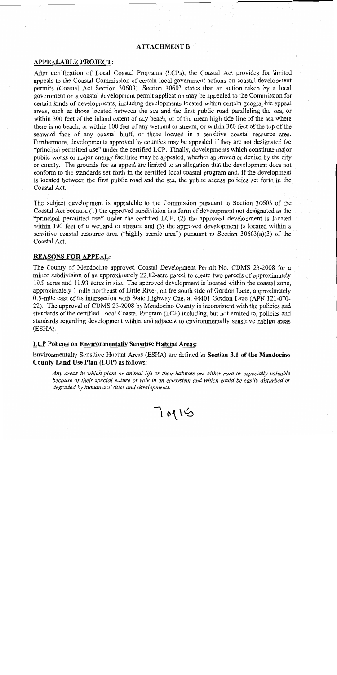## **ATTACHMENT B**

### **APPEALABLE PROJECT:**

After certification of Local Coastal Programs (LCPs), the Coastal Act provides for limited appeals to the Coastal Commission of certain local government actions on coastal development permits (Coastal Act Section 30603). Section 30603 states that an action taken by a local government on a coastal development permit application may be appealed to the Commission for certain kinds of developments, including developments located within certain geographic appeal areas, such as those located between the sea and the first public road paralleling the sea, or within 300 feet of the inland extent of any beach, or of the mean high tide line of the sea where there is no beach, or within 100 feet of any wetland or stream, or within 300 feet of the top of the seaward face of any coastal bluff, or those located in a sensitive coastal resource area. Furthermore, developments approved by counties may be appealed if they are not designated the "principal permitted use" under the certified LCP. Finally, developments which constitute major public works or major energy facilities may be appealed, whether approved or denied by the city or county. The grounds for an appeal are limited to an allegation that the development does not conform to the standards set forth in the certified local coastal program and, if the development is located between the first public road and the sea, the public access policies set forth in the Coastal Act.

The subject development is appealable to the Commission pursuant to Section 30603 of the Coastal Act because (1) the approved subdivision is a form of development not designated as the "principal permitted use" under the certified LCP, (2) the approved development is located within 100 feet of a wetland or stream; and (3) the approved development is located within a sensitive coastal resource area ("highly scenic area") pursuant to Section  $30603(a)(3)$  of the Coastal Act.

### **REASONS FOR APPEAL:**

The County of Mendocino approved Coastal Development Permit No. CDMS 23-2008 for a minor subdivision of an approximately 22.82-acre parcel to create two parcels of approximately 10.9 acres and 11.93 acres in size. The approved development is located within the coastal zone. approximately 1 mile northeast of Little River, on the south side of Gordon Lane, approximately 0.5-mile east of its intersection with State Highway One, at 44401 Gordon Lane (APN 121-070-22). The approval of CDMS 23-2008 by Mendocino County is inconsistent with the policies and standards of the certified Local Coastal Program (LCP) including, but not limited to, policies and standards regarding development within and adjacent to environmentally sensitive habitat areas (ESHA).

#### **LCP Policies on Environmentally Sensitive Habitat Areas:**

Environmentally Sensitive Habitat Areas (ESHA) are defined in Section 3.1 of the Mendocino County Land Use Plan (LUP) as follows:

Any areas in which plant or animal life or their habitats are either rare or especially valuable because of their special nature or role in an ecosystem and which could be easily disturbed or degraded by human activities and developments.

 $7015$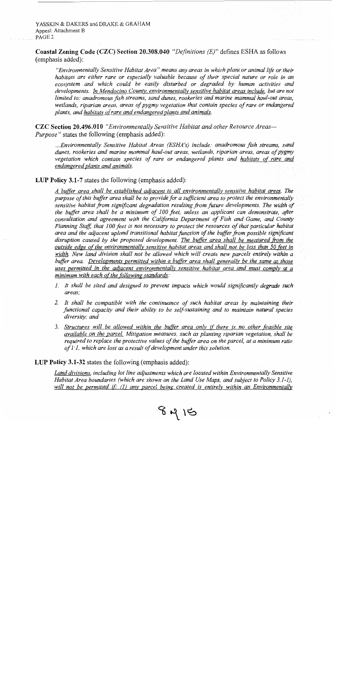YASSKIN & DAKERS and DRAKE & GRAHAM Appeal: Attachment B PAGE<sub>2</sub>

Coastal Zoning Code (CZC) Section 20.308.040 "Definitions (E)" defines ESHA as follows (emphasis added):

"Environmentally Sensitive Habitat Area" means any areas in which plant or animal life or their habitats are either rare or especially valuable because of their special nature or role in an ecosystem and which could be easily disturbed or degraded by human activities and developments. In Mendocino County, environmentally sensitive habitat areas include, but are not limited to: anadromous fish streams, sand dunes, rookeries and marine mammal haul-out areas. wetlands, riparian areas, areas of pygmy vegetation that contain species of rare or endangered plants, and habitats of rare and endangered plants and animals.

**CZC Section 20.496.010** "Environmentally Sensitive Habitat and other Resource Areas-*Purpose*" states the following (emphasis added):

...Environmentally Sensitive Habitat Areas (ESHA's) include: anadromous fish streams, sand dunes, rookeries and marine mammal haul-out areas, wetlands, riparian areas, areas of pygmy vegetation which contain species of rare or endangered plants and habitats of rare and endangered plants and animals.

#### LUP Policy 3.1-7 states the following (emphasis added):

A buffer area shall be established adjacent to all environmentally sensitive habitat areas. The purpose of this buffer area shall be to provide for a sufficient area to protect the environmentally sensitive habitat from significant degradation resulting from future developments. The width of the buffer area shall be a minimum of 100 feet, unless an applicant can demonstrate, after consultation and agreement with the California Department of Fish and Game, and County Planning Staff, that 100 feet is not necessary to protect the resources of that particular habitat area and the adjacent upland transitional habitat function of the buffer from possible significant disruption caused by the proposed development. The buffer area shall be measured from the outside edge of the environmentally sensitive habitat areas and shall not be less than 50 feet in width. New land division shall not be allowed which will create new parcels entirely within a buffer area. Developments permitted within a buffer area shall generally be the same as those uses permitted in the adjacent environmentally sensitive habitat area and must comply at a minimum with each of the following standards:

- 1. It shall be sited and designed to prevent impacts which would significantly degrade such areas:
- 2. It shall be compatible with the continuance of such habitat areas by maintaining their functional capacity and their ability to be self-sustaining and to maintain natural species diversity; and
- 3. Structures will be allowed within the buffer area only if there is no other feasible site available on the parcel. Mitigation measures, such as planting riparian vegetation, shall be required to replace the protective values of the buffer area on the parcel, at a minimum ratio of  $I: I$ , which are lost as a result of development under this solution.

LUP Policy 3.1-32 states the following (emphasis added):

Land divisions, including lot line adjustments which are located within Environmentally Sensitive Habitat Area boundaries (which are shown on the Land Use Maps, and subject to Policy 3.1-1), will not be permitted if: (1) any parcel being created is entirely within an Environmentally

 $8415$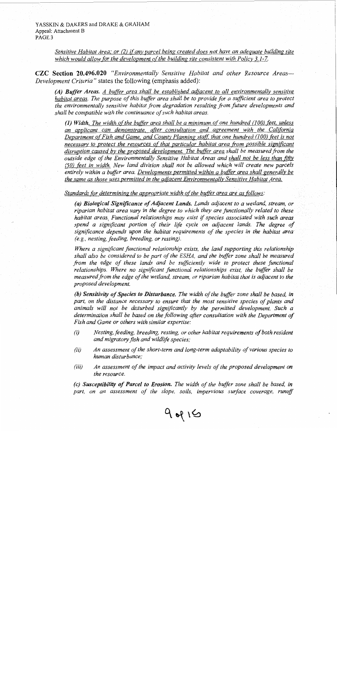YASSKIN & DAKERS and DRAKE & GRAHAM Appeal: Attachment B PAGE<sub>3</sub>

> Sensitive Habitat Area; or (2) if any parcel being created does not have an adequate building site which would allow for the development of the building site consistent with Policy 3.1-7.

CZC Section 20.496.020 "Environmentally Sensitive Habitat and other Resource Areas-Development Criteria" states the following (emphasis added):

(A) Buffer Areas. A buffer area shall be established adjacent to all environmentally sensitive habitat areas. The purpose of this buffer area shall be to provide for a sufficient area to protect the environmentally sensitive habitat from degradation resulting from future developments and shall be compatible with the continuance of such habitat areas.

(1) Width. The width of the buffer area shall be a minimum of one hundred  $(100)$  feet, unless an applicant can demonstrate, after consultation and agreement with the California Department of Fish and Game, and County Planning staff, that one hundred (100) feet is not necessary to protect the resources of that particular habitat area from possible significant disruption caused by the proposed development. The buffer area shall be measured from the outside edge of the Environmentally Sensitive Habitat Areas and shall not be less than fifty (50) feet in width. New land division shall not be allowed which will create new parcels entirely within a buffer area. Developments permitted within a buffer area shall generally be the same as those uses permitted in the adjacent Environmentally Sensitive Habitat Area.

Standards for determining the appropriate width of the buffer area are as follows:

(a) Biological Significance of Adjacent Lands. Lands adjacent to a wetland, stream, or riparian habitat area vary in the degree to which they are functionally related to these habitat areas. Functional relationships may exist if species associated with such areas spend a significant portion of their life cycle on adjacent lands. The degree of significance depends upon the habitat requirements of the species in the habitat area (e.g., nesting, feeding, breeding, or resting).

Where a significant functional relationship exists, the land supporting this relationship shall also be considered to be part of the ESHA, and the buffer zone shall be measured from the edge of these lands and be sufficiently wide to protect these functional relationships. Where no significant functional relationships exist, the buffer shall be measured from the edge of the wetland, stream, or riparian habitat that is adjacent to the proposed development.

(b) Sensitivity of Species to Disturbance. The width of the buffer zone shall be based, in part, on the distance necessary to ensure that the most sensitive species of plants and animals will not be disturbed significantly by the permitted development. Such a determination shall be based on the following after consultation with the Department of Fish and Game or others with similar expertise:

- $(i)$ Nesting, feeding, breeding, resting, or other habitat requirements of both resident and migratory fish and wildlife species;
- An assessment of the short-term and long-term adaptability of various species to  $(ii)$ human disturbance:
- $(iii)$ An assessment of the impact and activity levels of the proposed development on the resource.

(c) Susceptibility of Parcel to Erosion. The width of the buffer zone shall be based, in part, on an assessment of the slope, soils, impervious surface coverage, runoff

 $9.415$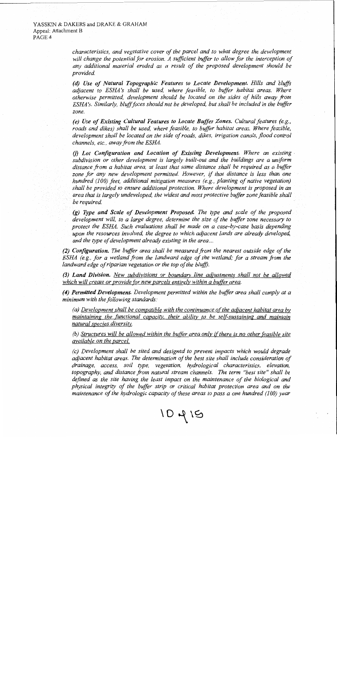#### YASSKIN & DAKERS and DRAKE & GRAHAM Appeal: Attachment B PAGE<sub>4</sub>

characteristics, and vegetative cover of the parcel and to what degree the development will change the potential for erosion. A sufficient buffer to allow for the interception of any additional material eroded as a result of the proposed development should be provided.

(d) Use of Natural Topographic Features to Locate Development. Hills and bluffs adjacent to ESHA's shall be used, where feasible, to buffer habitat areas. Where otherwise permitted, development should be located on the sides of hills away from ESHA's. Similarly, bluff faces should not be developed, but shall be included in the buffer zone.

(e) Use of Existing Cultural Features to Locate Buffer Zones. Cultural features (e.g., roads and dikes) shall be used, where feasible, to buffer habitat areas. Where feasible, development shall be located on the side of roads, dikes, irrigation canals, flood control channels, etc., away from the ESHA.

(f) Lot Configuration and Location of Existing Development. Where an existing subdivision or other development is largely built-out and the buildings are a uniform distance from a habitat area, at least that same distance shall be required as a buffer zone for any new development permitted. However, if that distance is less than one hundred (100) feet, additional mitigation measures (e.g., planting of native vegetation) shall be provided to ensure additional protection. Where development is proposed in an area that is largely undeveloped, the widest and most protective buffer zone feasible shall be required.

(g) Type and Scale of Development Proposed. The type and scale of the proposed development will, to a large degree, determine the size of the buffer zone necessary to protect the ESHA. Such evaluations shall be made on a case-by-case basis depending upon the resources involved, the degree to which adjacent lands are already developed, and the type of development already existing in the area...

(2) Configuration. The buffer area shall be measured from the nearest outside edge of the ESHA (e.g., for a wetland from the landward edge of the wetland; for a stream from the landward edge of riparian vegetation or the top of the bluff).

(3) Land Division. New subdivisions or boundary line adjustments shall not be allowed which will create or provide for new parcels entirely within a buffer area.

(4) Permitted Development. Development permitted within the buffer area shall comply at a minimum with the following standards:

(a) Development shall be compatible with the continuance of the adjacent habitat area by maintaining the functional capacity, their ability to be self-sustaining and maintain natural species diversity.

(b) Structures will be allowed within the buffer area only if there is no other feasible site available on the parcel.

(c) Development shall be sited and designed to prevent impacts which would degrade adjacent habitat areas. The determination of the best site shall include consideration of drainage, access, soil type, vegetation, hydrological characteristics, elevation, topography, and distance from natural stream channels. The term "best site" shall be defined as the site having the least impact on the maintenance of the biological and physical integrity of the buffer strip or critical habitat protection area and on the maintenance of the hydrologic capacity of these areas to pass a one hundred (100) year

10419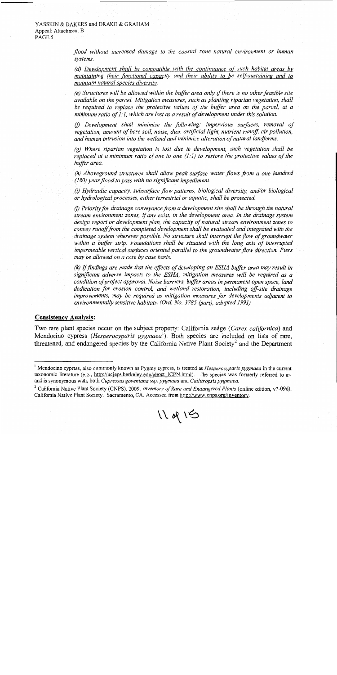flood without increased damage to the coastal zone natural environment or human systems.

(d) Development shall be compatible with the continuance of such habitat areas by maintaining their functional capacity and their ability to be self-sustaining and to maintain natural species diversity.

(e) Structures will be allowed within the buffer area only if there is no other feasible site available on the parcel. Mitigation measures, such as planting riparian vegetation, shall be required to replace the protective values of the buffer area on the parcel, at a minimum ratio of  $1:1$ , which are lost as a result of development under this solution.

(f) Development shall minimize the following: impervious surfaces, removal of vegetation, amount of bare soil, noise, dust, artificial light, nutrient runoff, air pollution, and human intrusion into the wetland and minimize alteration of natural landforms.

 $(g)$  Where riparian vegetation is lost due to development, such vegetation shall be replaced at a minimum ratio of one to one  $(1,1)$  to restore the protective values of the buffer area.

(h) Aboveground structures shall allow peak surface water flows from a one hundred  $(100)$  year flood to pass with no significant impediment.

(i) Hydraulic capacity, subsurface flow patterns, biological diversity, and/or biological or hydrological processes, either terrestrial or aquatic, shall be protected.

(i) Priority for drainage conveyance from a development site shall be through the natural stream environment zones, if any exist, in the development area. In the drainage system design report or development plan, the capacity of natural stream environment zones to convey runoff from the completed development shall be evaluated and integrated with the drainage system wherever possible. No structure shall interrupt the flow of groundwater within a buffer strip. Foundations shall be situated with the long axis of interrupted impermeable vertical surfaces oriented parallel to the groundwater flow direction. Piers may be allowed on a case by case basis.

(k) If findings are made that the effects of developing an ESHA buffer area may result in significant adverse impacts to the ESHA, mitigation measures will be required as a condition of project approval. Noise barriers, buffer areas in permanent open space, land dedication for erosion control, and wetland restoration, including off-site drainage improvements, may be required as mitigation measures for developments adjacent to environmentally sensitive habitats. (Ord. No. 3785 (part), adopted 1991)

#### **Consistency Analysis:**

Two rare plant species occur on the subject property: California sedge (Carex californica) and Mendocino cypress (*Hesperocyparis pygmaea*<sup>1</sup>). Both species are included on lists of rare, threatened, and endangered species by the California Native Plant Society<sup>2</sup> and the Department

 $11$  of  $15$ 

<sup>&</sup>lt;sup>1</sup> Mendocino cypress, also commonly known as Pygmy cypress, is treated as *Hesperocyparis pygmaea* in the current taxonomic literature (e.g., http://ucjeps.berkeley.edu/about ICPN.html). The species was formerly referred to as, and is synonymous with, both Cupressus goveniana ssp. pygmaea and Callitropsis pygmaea.

 $2$  California Native Plant Society (CNPS). 2009. Inventory of Rare and Endangered Plants (online edition, v7-09d). California Native Plant Society. Sacramento, CA. Accessed from http://www.cnps.org/inventory.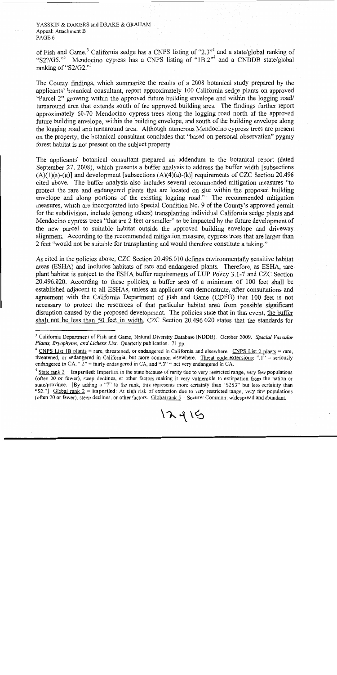YASSKIN & DAKERS and DRAKE & GRAHAM Appeal: Attachment B PAGE 6

of Fish and Game.<sup>3</sup> California sedge has a CNPS listing of "2.3"<sup>4</sup> and a state/global ranking of "S2?/G5."<sup>5</sup> Mendocino cypress has a CNPS listing of "1B.2"<sup>4</sup> and a CNDDB state/global ranking of " $S2/G2."$ 

The County findings, which summarize the results of a 2008 botanical study prepared by the applicants' botanical consultant, report approximately 100 California sedge plants on approved "Parcel 2" growing within the approved future building envelope and within the logging road/ turnaround area that extends south of the approved building area. The findings further report approximately 60-70 Mendocino cypress trees along the logging road north of the approved future building envelope, within the building envelope, and south of the building envelope along the logging road and turnaround area. Although numerous Mendocino cypress trees are present on the property, the botanical consultant concludes that "based on personal observation" pygmy forest habitat is not present on the subject property.

The applicants' botanical consultant prepared an addendum to the botanical report (dated September 27, 2008), which presents a buffer analysis to address the buffer width [subsections]  $(A)(1)(a)-(g)$ ] and development [subsections  $(A)(4)(a)-(k)$ ] requirements of CZC Section 20.496 cited above. The buffer analysis also includes several recommended mitigation measures "to protect the rare and endangered plants that are located on site within the proposed building envelope and along portions of the existing logging road." The recommended mitigation measures, which are incorporated into Special Condition No. 9 of the County's approved permit for the subdivision, include (among others) transplanting individual California sedge plants and Mendocino cypress trees "that are 2 feet or smaller" to be impacted by the future development of the new parcel to suitable habitat outside the approved building envelope and driveway alignment. According to the recommended mitigation measure, cypress trees that are larger than 2 feet "would not be suitable for transplanting and would therefore constitute a taking."

As cited in the policies above, CZC Section 20.496.010 defines environmentally sensitive habitat areas (ESHA) and includes habitats of rare and endangered plants. Therefore, as ESHA, rare plant habitat is subject to the ESHA buffer requirements of LUP Policy 3.1-7 and CZC Section 20.496.020. According to these policies, a buffer area of a minimum of 100 feet shall be established adjacent to all ESHAs, unless an applicant can demonstrate, after consultations and agreement with the California Department of Fish and Game (CDFG) that 100 feet is not necessary to protect the resources of that particular habitat area from possible significant disruption caused by the proposed development. The policies state that in that event, the buffer shall not be less than 50 feet in width. CZC Section 20.496.020 states that the standards for

<sup>&</sup>lt;sup>3</sup> California Department of Fish and Game, Natural Diversity Database (NDDB). October 2009. Special Vascular Plants, Bryophytes, and Lichens List. Quarterly publication. 71 pp.

<sup>&</sup>lt;sup>4</sup> CNPS List 1B plants = rare, threatened, or endangered in California and elsewhere. CNPS List 2 plants = rare, threatened, or endangered in California, but more common elsewhere. Threat code extensions: " $\cdot$ !" = seriously endangered in CA, ".2" = fairly endangered in CA, and ".3" = not very endangered in CA.

<sup>&</sup>lt;sup>5</sup> State rank  $2 =$  Imperiled: Imperiled in the state because of rarity due to very restricted range, very few populations (often 20 or fewer), steep declines, or other factors making it very vulnerable to extirpation from the nation or state/province. [By adding a "?" to the rank, this represents more certainty than "S2S3" but less certainty than "S2."] Global rank  $2 =$  Imperiled: At high risk of extinction due to very restricted range, very few populations (often 20 or fewer), steep declines, or other factors. Global rank  $5$  = Secure: Common; widespread and abundant.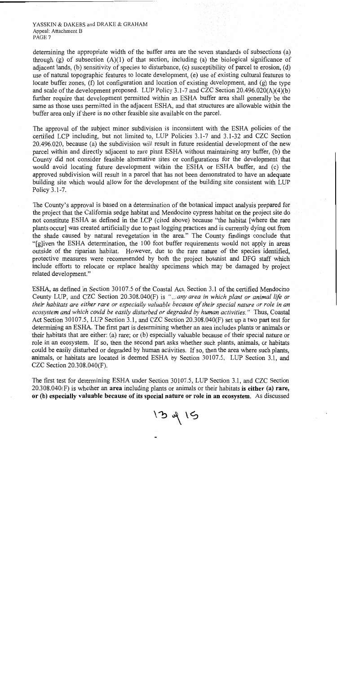YASSKIN & DAKERS and DRAKE & GRAHAM Appeal: Attachment B PAGE<sub>7</sub>

determining the appropriate width of the buffer area are the seven standards of subsections (a) through  $(g)$  of subsection  $(A)(1)$  of that section, including (a) the biological significance of adiacent lands, (b) sensitivity of species to disturbance, (c) susceptibility of parcel to erosion, (d) use of natural topographic features to locate development, (e) use of existing cultural features to locate buffer zones. (f) lot configuration and location of existing development, and  $(g)$  the type and scale of the development proposed. LUP Policy 3.1-7 and CZC Section  $20.496.020(A)(4)(b)$ further require that development permitted within an ESHA buffer area shall generally be the same as those uses permitted in the adjacent ESHA, and that structures are allowable within the buffer area only if there is no other feasible site available on the parcel.

The approval of the subject minor subdivision is inconsistent with the ESHA policies of the certified LCP including, but not limited to, LUP Policies 3.1-7 and 3.1-32 and CZC Section 20.496.020, because (a) the subdivision will result in future residential development of the new parcel within and directly adjacent to rare plant ESHA without maintaining any buffer, (b) the County did not consider feasible alternative sites or configurations for the development that would avoid locating future development within the ESHA or ESHA buffer, and (c) the approved subdivision will result in a parcel that has not been demonstrated to have an adequate building site which would allow for the development of the building site consistent with LUP Policy 3.1-7.

The County's approval is based on a determination of the botanical impact analysis prepared for the project that the California sedge habitat and Mendocino cypress habitat on the project site do not constitute ESHA as defined in the LCP (cited above) because "the habitat [where the rare plants occur) was created artificially due to past logging practices and is currently dying out from the shade caused by natural revegetation in the area." The County findings conclude that "[g]iven the ESHA determination, the 100 foot buffer requirements would not apply in areas outside of the riparian habitat. However, due to the rare nature of the species identified, protective measures were recommended by both the project botanist and DFG staff which include efforts to relocate or replace healthy specimens which may be damaged by project related development."

ESHA, as defined in Section 30107.5 of the Coastal Act, Section 3.1 of the certified Mendocino County LUP, and CZC Section 20.308.040(F) is "...any area in which plant or animal life or their habitats are either rare or especially valuable because of their special nature or role in an ecosystem and which could be easily disturbed or degraded by human activities." Thus, Coastal Act Section 30107.5, LUP Section 3.1, and CZC Section 20.308.040(F) set up a two part test for determining an ESHA. The first part is determining whether an area includes plants or animals or their habitats that are either: (a) rare; or (b) especially valuable because of their special nature or role in an ecosystem. If so, then the second part asks whether such plants, animals, or habitats could be easily disturbed or degraded by human activities. If so, then the area where such plants, animals, or habitats are located is deemed ESHA by Section 30107.5, LUP Section 3.1, and CZC Section 20.308.040(F).

The first test for determining ESHA under Section 30107.5, LUP Section 3.1, and CZC Section  $20.308.040(F)$  is whether an area including plants or animals or their habitats is either (a) rare, or (b) especially valuable because of its special nature or role in an ecosystem. As discussed

 $13415$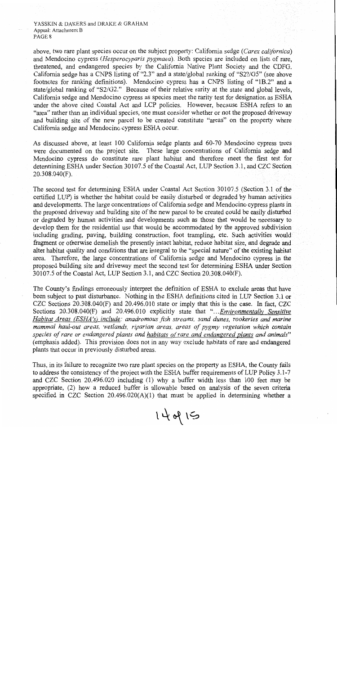YASSKIN & DAKERS and DRAKE & GRAHAM Appeal: Attachment B PAGE 8

above, two rare plant species occur on the subject property: California sedge (Carex californica) and Mendocino cypress (Hesperocyparis pygmaea). Both species are included on lists of rare, threatened, and endangered species by the California Native Plant Society and the CDFG. California sedge has a CNPS listing of "2.3" and a state/global ranking of "S2?/G5" (see above footnotes for ranking definitions). Mendocino cypress has a CNPS listing of "1B.2" and a state/global ranking of "S2/G2." Because of their relative rarity at the state and global levels, California sedge and Mendocino cypress as species meet the rarity test for designation as ESHA under the above cited Coastal Act and LCP policies. However, because ESHA refers to an "area" rather than an individual species, one must consider whether or not the proposed driveway and building site of the new parcel to be created constitute "areas" on the property where California sedge and Mendocino cypress ESHA occur.

As discussed above, at least 100 California sedge plants and 60-70 Mendocino cypress trees were documented on the project site. These large concentrations of California sedge and Mendocino cypress do constitute rare plant habitat and therefore meet the first test for determining ESHA under Section 30107.5 of the Coastal Act, LUP Section 3.1, and CZC Section  $20.308.040(F)$ .

The second test for determining ESHA under Coastal Act Section 30107.5 (Section 3.1 of the certified LUP) is whether the habitat could be easily disturbed or degraded by human activities and developments. The large concentrations of California sedge and Mendocino cypress plants in the proposed driveway and building site of the new parcel to be created could be easily disturbed or degraded by human activities and developments such as those that would be necessary to develop them for the residential use that would be accommodated by the approved subdivision including grading, paving, building construction, foot trampling, etc. Such activities would fragment or otherwise demolish the presently intact habitat, reduce habitat size, and degrade and alter habitat quality and conditions that are integral to the "special nature" of the existing habitat area. Therefore, the large concentrations of California sedge and Mendocino cypress in the proposed building site and driveway meet the second test for determining ESHA under Section 30107.5 of the Coastal Act, LUP Section 3.1, and CZC Section 20.308.040(F).

The County's findings erroneously interpret the definition of ESHA to exclude areas that have been subject to past disturbance. Nothing in the ESHA definitions cited in LUP Section 3.1 or CZC Sections 20.308.040(F) and 20.496.010 state or imply that this is the case. In fact, CZC Sections 20.308.040(F) and 20.496.010 explicitly state that "...*Environmentally Sensitive* Habitat Areas (ESHA's) include: anadromous fish streams, sand dunes, rookeries and marine mammal haul-out areas, wetlands, riparian areas, areas of pygmy vegetation which contain species of rare or endangered plants and habitats of rare and endangered plants and animals" (emphasis added). This provision does not in any way exclude habitats of rare and endangered plants that occur in previously disturbed areas.

Thus, in its failure to recognize two rare plant species on the property as ESHA, the County fails to address the consistency of the project with the ESHA buffer requirements of LUP Policy 3.1-7 and CZC Section 20.496.020 including (1) why a buffer width less than 100 feet may be appropriate, (2) how a reduced buffer is allowable based on analysis of the seven criteria specified in CZC Section  $20.496.020(A)(1)$  that must be applied in determining whether a

 $14$  of  $15$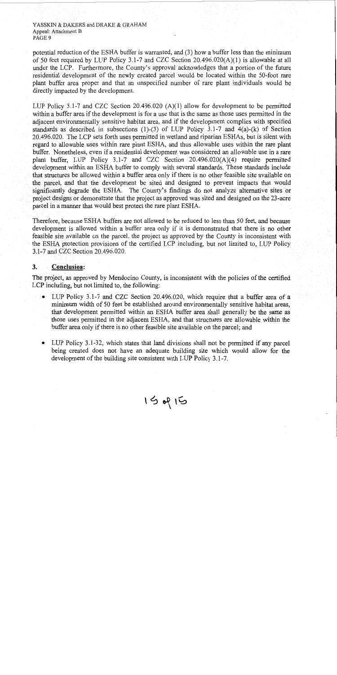YASSKIN & DAKERS and DRAKE & GRAHAM Appeal: Attachment B PAGE 9

potential reduction of the ESHA buffer is warranted, and (3) how a buffer less than the minimum of 50 feet required by LUP Policy 3.1-7 and CZC Section  $20.496.020(A)(1)$  is allowable at all under the LCP. Furthermore, the County's approval acknowledges that a portion of the future residential development of the newly created parcel would be located within the 50-foot rare plant buffer area proper and that an unspecified number of rare plant individuals would be directly impacted by the development.

LUP Policy 3.1-7 and CZC Section 20.496.020  $(A)(1)$  allow for development to be permitted within a buffer area if the development is for a use that is the same as those uses permitted in the adjacent environmentally sensitive habitat area, and if the development complies with specified standards as described in subsections (1)-(3) of LUP Policy 3.1-7 and  $4(a)$ -(k) of Section 20.496.020. The LCP sets forth uses permitted in wetland and riparian ESHAs, but is silent with regard to allowable uses within rare plant ESHA, and thus allowable uses within the rare plant buffer. Nonetheless, even if a residential development was considered an allowable use in a rare plant buffer, LUP Policy 3.1-7 and CZC Section  $20.496.020(A)(4)$  require permitted development within an ESHA buffer to comply with several standards. These standards include that structures be allowed within a buffer area only if there is no other feasible site available on the parcel, and that the development be sited and designed to prevent impacts that would significantly degrade the ESHA. The County's findings do not analyze alternative sites or project designs or demonstrate that the project as approved was sited and designed on the 23-acre parcel in a manner that would best protect the rare plant ESHA.

Therefore, because ESHA buffers are not allowed to be reduced to less than 50 feet, and because development is allowed within a buffer area only if it is demonstrated that there is no other feasible site available on the parcel, the project as approved by the County is inconsistent with the ESHA protection provisions of the certified LCP including, but not limited to, LUP Policy 3.1-7 and CZC Section 20.496.020.

#### $3.$ **Conclusion:**

The project, as approved by Mendocino County, is inconsistent with the policies of the certified LCP including, but not limited to, the following:

- LUP Policy 3.1-7 and CZC Section 20.496.020, which require that a buffer area of a minimum width of 50 feet be established around environmentally sensitive habitat areas, that development permitted within an ESHA buffer area shall generally be the same as those uses permitted in the adjacent ESHA, and that structures are allowable within the buffer area only if there is no other feasible site available on the parcel; and
- LUP Policy 3.1-32, which states that land divisions shall not be permitted if any parcel being created does not have an adequate building site which would allow for the development of the building site consistent with LUP Policy 3.1-7.

15015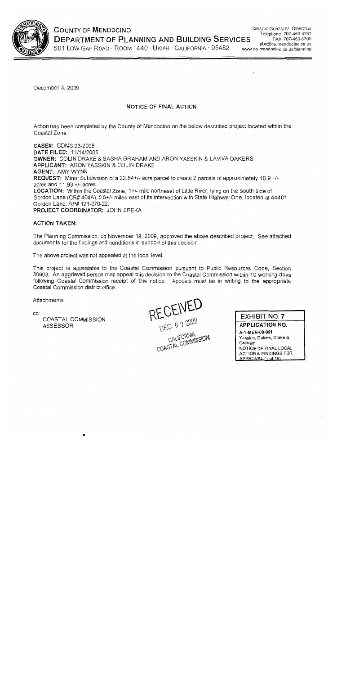

# **COUNTY OF MENDOCINO DEPARTMENT OF PLANNING AND BUILDING SERVICES**

**IGNACIO GONZALEZ, DIRECTOR** Telephone 707-463-4281 FAX 707-463-5709 pbs@co.mendocino.ca.us www.co.mendocino.ca.us/planning

501 LOW GAP ROAD · ROOM 1440 · UKIAH · CALIFORNIA · 95482

December 3, 2009

#### NOTICE OF FINAL ACTION

Action has been completed by the County of Mendocino on the below described project located within the Coastal Zone.

CASE#: CDMS 23-2008 DATE FILED: 11/14/2008 OWNER: COLIN DRAKE & SASHA GRAHAM AND ARON YASSKIN & LAVIVA DAKERS **APPLICANT: ARON YASSKIN & COLIN DRAKE AGENT: AMY WYNN** REQUEST: Minor Subdivision of a 22.84+/- acre parcel to create 2 parcels of approximately 10.9 +/acres and  $11.93 +/-$  acres. LOCATION: Within the Coastal Zone, 1+/- mile northeast of Little River, lying on the south side of Gordon Lane (CR# 404A), 0.5+/- miles east of its intersection with State Highway One, located at 44401 Gordon Lane: AP# 121-070-22. PROJECT COORDINATOR: JOHN SPEKA

#### **ACTION TAKEN:**

The Planning Commission, on November 19, 2009, approved the above described project. See attached documents for the findings and conditions in support of this decision.

The above project was not appealed at the local level.

This project is appealable to the Coastal Commission pursuant to Public Resources Code, Section 30603. An aggrieved person may appeal this decision to the Coastal Commission within 10 working days following Coastal Commission receipt of this notice. Appeals must be in writing to the appropriate Coastal Commission district office.

Attachments

CC:

COASTAL COMMISSION **ASSESSOR** 

RECEIVED CALIFORNIA COASTAL COMMISSION

**EXHIBIT NO. 7 APPLICATION NO.** A-1-MEN-09-051 Yasskin, Dakers, Drake & Graham NOTICE OF FINAL LOCAL **ACTION & FINDINGS FOR** 

APPROVAL (1 of 19)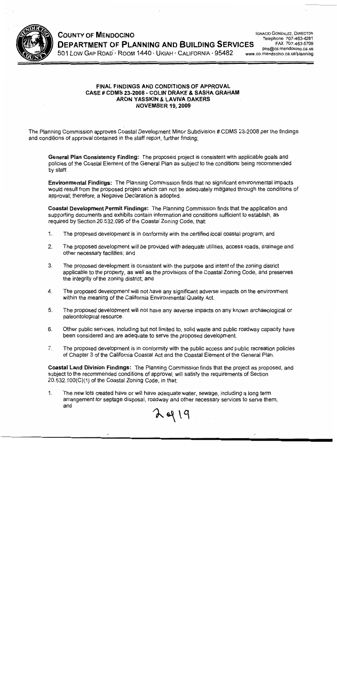

**COUNTY OF MENDOCINO DEPARTMENT OF PLANNING AND BUILDING SERVICES** 501 LOW GAP ROAD · ROOM 1440 · UKIAH · CALIFORNIA · 95482

**IGNACIO GONZALEZ, DIRECTOR** Telephone 707-463-4281 FAX 707-463-5709 pbs@co.mendocino.ca.us www.co.mendocino.ca.us/planning

#### **FINAL FINDINGS AND CONDITIONS OF APPROVAL** CASE # CDMS 23-2008 - COLIN DRAKE & SASHA GRAHAM ARON YASSKIN & LAVIVA DAKERS **NOVEMBER 19, 2009**

The Planning Commission approves Coastal Development Minor Subdivision # CDMS 23-2008 per the findings and conditions of approval contained in the staff report, further finding;

General Plan Consistency Finding: The proposed project is consistent with applicable goals and policies of the Coastal Element of the General Plan as subject to the conditions being recommended by staff.

**Environmental Findings:** The Planning Commission finds that no significant environmental impacts would result from the proposed project which can not be adequately mitigated through the conditions of approval; therefore, a Negative Declaration is adopted.

Coastal Development Permit Findings: The Planning Commission finds that the application and supporting documents and exhibits contain information and conditions sufficient to establish, as required by Section 20.532.095 of the Coastal Zoning Code, that:

- $1.$ The proposed development is in conformity with the certified local coastal program; and
- $2.$ The proposed development will be provided with adequate utilities, access roads, drainage and other necessary facilities; and
- $3<sub>1</sub>$ The proposed development is consistent with the purpose and intent of the zoning district applicable to the property, as well as the provisions of the Coastal Zoning Code, and preserves the integrity of the zoning district; and
- 4. The proposed development will not have any significant adverse impacts on the environment within the meaning of the California Environmental Quality Act.
- 5. The proposed development will not have any adverse impacts on any known archaeological or paleontological resource.
- 6. Other public services, including but not limited to, solid waste and public roadway capacity have been considered and are adequate to serve the proposed development.
- $7<sub>1</sub>$ The proposed development is in conformity with the public access and public recreation policies of Chapter 3 of the California Coastal Act and the Coastal Element of the General Plan.

Coastal Land Division Findings: The Planning Commission finds that the project as proposed, and subject to the recommended conditions of approval, will satisfy the requirements of Section 20.532.100(C)(1) of the Coastal Zoning Code, in that:

 $249$ 

The new lots created have or will have adequate water, sewage, including a long term 1. arrangement for septage disposal, roadway and other necessary services to serve them; and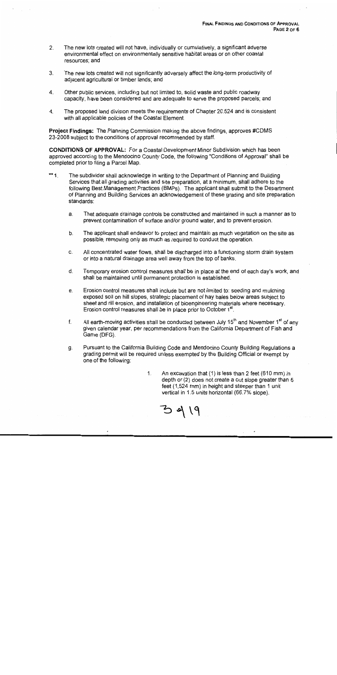- The new lots created will not have, individually or cumulatively, a significant adverse  $2.$ environmental effect on environmentally sensitive habitat areas or on other coastal resources; and
- The new lots created will not significantly adversely affect the long-term productivity of 3. adjacent agricultural or timber lands; and
- Other public services, including but not limited to, solid waste and public roadway 4. capacity, have been considered and are adequate to serve the proposed parcels; and
- The proposed land division meets the requirements of Chapter 20.524 and is consistent  $\mathbf{4}$ . with all applicable policies of the Coastal Element.

Project Findings: The Planning Commission making the above findings, approves #CDMS 23-2008 subject to the conditions of approval recommended by staff.

**CONDITIONS OF APPROVAL:** For a Coastal Development Minor Subdivision which has been approved according to the Mendocino County Code, the following "Conditions of Approval" shall be completed prior to filing a Parcel Map.

- $**1$ The subdivider shall acknowledge in writing to the Department of Planning and Building Services that all grading activities and site preparation, at a minimum, shall adhere to the following Best Management Practices (BMPs). The applicant shall submit to the Department of Planning and Building Services an acknowledgement of these grading and site preparation standards:
	- That adequate drainage controls be constructed and maintained in such a manner as to a. prevent contamination of surface and/or ground water, and to prevent erosion.
	- b. The applicant shall endeavor to protect and maintain as much vegetation on the site as possible, removing only as much as required to conduct the operation.
	- All concentrated water flows, shall be discharged into a functioning storm drain system C. or into a natural drainage area well away from the top of banks.
	- d. Temporary erosion control measures shall be in place at the end of each day's work, and shall be maintained until permanent protection is established.
	- Erosion control measures shall include but are not limited to: seeding and mulching e. exposed soil on hill slopes, strategic placement of hay bales below areas subject to sheet and rill erosion, and installation of bioengineering materials where necessary. Erosion control measures shall be in place prior to October 1<sup>st</sup>.
	- All earth-moving activities shall be conducted between July 15<sup>th</sup> and November 1<sup>st</sup> of any  $f_{\cdot}$ given calendar year, per recommendations from the California Department of Fish and Game (DFG).
	- Pursuant to the California Building Code and Mendocino County Building Regulations a g. grading permit will be required unless exempted by the Building Official or exempt by one of the following:
		- An excavation that (1) is less than 2 feet (610 mm) in  $1<sub>1</sub>$ depth or (2) does not create a cut slope greater than 5 feet (1.524 mm) in height and steeper than 1 unit vertical in 1.5 units horizontal (66.7% slope).

 $39 | 9$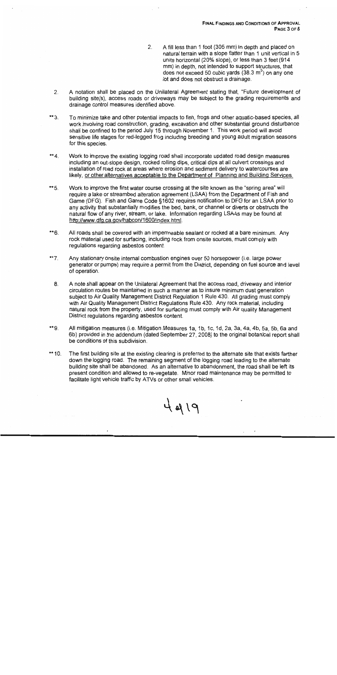- A fill less than 1 foot (305 mm) in depth and placed on  $2<sub>1</sub>$ natural terrain with a slope flatter than 1 unit vertical in 5 units horizontal (20% slope), or less than 3 feet (914 mm) in depth, not intended to support structures, that does not exceed 50 cubic yards  $(38.3 \text{ m}^3)$  on any one lot and does not obstruct a drainage.
- A notation shall be placed on the Unilateral Agreement stating that, "Future development of  $2.$ building site(s), access roads or driveways may be subject to the grading requirements and drainage control measures identified above.
- To minimize take and other potential impacts to fish, frogs and other aquatic-based species, all \*\*3. work involving road construction, grading, excavation and other substantial ground disturbance shall be confined to the period July 15 through November 1. This work period will avoid sensitive life stages for red-legged frog including breeding and young adult migration seasons for this species.
- \*\* 4. Work to improve the existing logging road shall incorporate updated road design measures including an out-slope design, rocked rolling dips, critical dips at all culvert crossings and installation of road rock at areas where erosion and sediment delivery to watercourses are likely, or other alternatives acceptable to the Department of Planning and Building Services.
- $*$  5. Work to improve the first water course crossing at the site known as the "spring area" will require a lake or streambed alteration agreement (LSAA) from the Department of Fish and Game (DFG). Fish and Game Code §1602 requires notification to DFG for an LSAA prior to any activity that substantially modifies the bed, bank, or channel or diverts or obstructs the natural flow of any river, stream, or lake. Information regarding LSAAs may be found at http://www.dfg.ca.gov/habcon/1600/index.html.
- \*\*6. All roads shall be covered with an impermeable sealant or rocked at a bare minimum. Any rock material used for surfacing, including rock from onsite sources, must comply with regulations regarding asbestos content.
- $**7.$ Any stationary onsite internal combustion engines over 50 horsepower (i.e. large power generator or pumps) may require a permit from the District, depending on fuel source and level of operation.
	- 8. A note shall appear on the Unilateral Agreement that the access road, driveway and interior circulation routes be maintained in such a manner as to insure minimum dust generation subject to Air Quality Management District Regulation 1 Rule 430. All grading must comply with Air Quality Management District Regulations Rule 430. Any rock material, including natural rock from the property, used for surfacing must comply with Air quality Management District regulations regarding asbestos content.
- \*\*9. All mitigation measures (i.e. Mitigation Measures 1a, 1b, 1c, 1d, 2a, 3a, 4a, 4b, 5a, 5b, 6a and 6b) provided in the addendum (dated September 27, 2008) to the original botanical report shall be conditions of this subdivision.
- \*\* 10. The first building site at the existing clearing is preferred to the alternate site that exists farther down the logging road. The remaining segment of the logging road leading to the alternate building site shall be abandoned. As an alternative to abandonment, the road shall be left its present condition and allowed to re-vegetate. Minor road maintenance may be permitted to facilitate light vehicle traffic by ATVs or other small vehicles.

4 219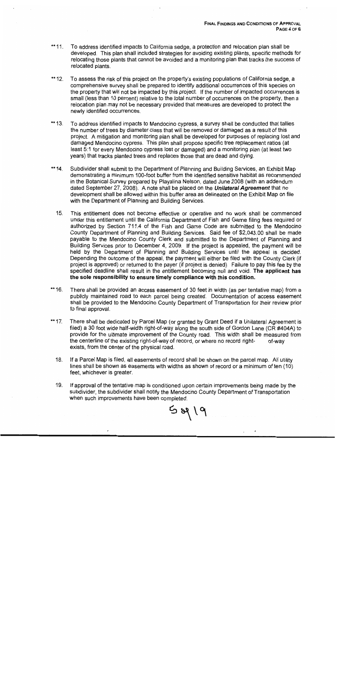- To address identified impacts to California sedge, a protection and relocation plan shall be \*\* 11. developed. This plan shall included strategies for avoiding existing plants, specific methods for relocating those plants that cannot be avoided and a monitoring plan that tracks the success of relocated plants.
- \*\* 12. To assess the risk of this project on the property's existing populations of California sedge, a comprehensive survey shall be prepared to identify additional occurrences of this species on the property that will not be impacted by this project. If the number of impacted occurrences is small (less than 10 percent) relative to the total number of occurrences on the property, then a relocation plan may not be necessary provided that measures are developed to protect the newly identified occurrences.
- $** 13.$ To address identified impacts to Mendocino cypress, a survey shall be conducted that tallies the number of trees by diameter class that will be removed or damaged as a result of this project. A mitigation and monitoring plan shall be developed for purposes of replacing lost and damaged Mendocino cypress. This plan shall propose specific tree replacement ratios (at least 5:1 for every Mendocino cypress lost or damaged) and a monitoring plan (at least two years) that tracks planted trees and replaces those that are dead and dying.
- \*\* 14. Subdivider shall submit to the Department of Planning and Building Services, an Exhibit Map demonstrating a minimum 100-foot buffer from the identified sensitive habitat as recommended in the Botanical Survey prepared by Playalina Nelson, dated June 2008 (with an addendum dated September 27, 2008). A note shall be placed on the *Unilateral Agreement* that no development shall be allowed within this buffer area as delineated on the Exhibit Map on file with the Department of Planning and Building Services.
	- $15.$ This entitlement does not become effective or operative and no work shall be commenced under this entitlement until the California Department of Fish and Game filing fees required or authorized by Section 711.4 of the Fish and Game Code are submitted to the Mendocino County Department of Planning and Building Services. Said fee of \$2,043.00 shall be made payable to the Mendocino County Clerk and submitted to the Department of Planning and Building Services prior to December 4, 2009. If the project is appealed, the payment will be held by the Department of Planning and Building Services until the appeal is decided. Depending the outcome of the appeal, the payment will either be filed with the County Clerk (if project is approved) or returned to the payer (if project is denied). Failure to pay this fee by the specified deadline shall result in the entitlement becoming null and void. The applicant has the sole responsibility to ensure timely compliance with this condition.
- \*\* 16. There shall be provided an access easement of 30 feet in width (as per tentative map) from a publicly maintained road to each parcel being created. Documentation of access easement shall be provided to the Mendocino County Department of Transportation for their review prior to final approval.
- \*\* 17. There shall be dedicated by Parcel Map (or granted by Grant Deed if a Unilateral Agreement is filed) a 30 foot wide half-width right-of-way along the south side of Gordon Lane (CR #404A) to provide for the ultimate improvement of the County road. This width shall be measured from the centerline of the existing right-of-way of record, or where no record rightof-way exists, from the center of the physical road.
	- 18. If a Parcel Map is filed, all easements of record shall be shown on the parcel map. All utility lines shall be shown as easements with widths as shown of record or a minimum of ten (10) feet, whichever is greater.
	- 19. If approval of the tentative map is conditioned upon certain improvements being made by the subdivider, the subdivider shall notify the Mendocino County Department of Transportation when such improvements have been completed.

 $9190$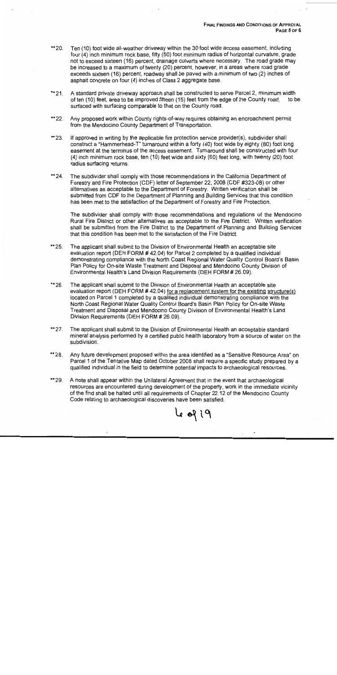- \*\* 20. Ten (10) foot wide all-weather driveway within the 30 foot wide access easement, including four (4) inch minimum rock base, fifty (50) foot minimum radius of horizontal curvature, grade not to exceed sixteen (16) percent, drainage culverts where necessary. The road grade may be increased to a maximum of twenty (20) percent, however, in a areas where road grade exceeds sixteen (16) percent, roadway shall be paved with a minimum of two (2) inches of asphalt concrete on four (4) inches of Class 2 aggregate base.
- \*\* 21. A standard private driveway approach shall be constructed to serve Parcel 2, minimum width of ten (10) feet, area to be improved fifteen (15) feet from the edge of the County road, to be surfaced with surfacing comparable to that on the County road.
- $*22$ Any proposed work within County rights-of-way requires obtaining an encroachment permit from the Mendocino County Department of Transportation.
- \*\* 23. If approved in writing by the applicable fire protection service provider(s), subdivider shall construct a "Hammerhead-T" turnaround within a forty (40) foot wide by eighty (80) foot long easement at the terminus of the access easement. Turnaround shall be constructed with four (4) inch minimum rock base, ten (10) feet wide and sixty (60) feet long, with twenty (20) foot radius surfacing returns.
- \*\* 24. The subdivider shall comply with those recommendations in the California Department of Forestry and Fire Protection (CDF) letter of September 22, 2008 (CDF #323-08) or other alternatives as acceptable to the Department of Forestry. Written verification shall be submitted from CDF to the Department of Planning and Building Services that this condition has been met to the satisfaction of the Department of Forestry and Fire Protection.

The subdivider shall comply with those recommendations and regulations of the Mendocino Rural Fire District or other alternatives as acceptable to the Fire District. Written verification shall be submitted from the Fire District to the Department of Planning and Building Services that this condition has been met to the satisfaction of the Fire District.

- \*\*25. The applicant shall submit to the Division of Environmental Health an acceptable site evaluation report (DEH FORM #42.04) for Parcel 2 completed by a qualified individual demonstrating compliance with the North Coast Regional Water Quality Control Board's Basin Plan Policy for On-site Waste Treatment and Disposal and Mendocino County Division of Environmental Health's Land Division Requirements (DEH FORM # 26.09).
- \*\* 26. The applicant shall submit to the Division of Environmental Health an acceptable site evaluation report (DEH FORM #42.04) for a replacement system for the existing structure(s) located on Parcel 1 completed by a qualified individual demonstrating compliance with the North Coast Regional Water Quality Control Board's Basin Plan Policy for On-site Waste Treatment and Disposal and Mendocino County Division of Environmental Health's Land Division Requirements (DEH FORM # 26.09).
- \*\* 27. The applicant shall submit to the Division of Environmental Health an acceptable standard mineral analysis performed by a certified public health laboratory from a source of water on the subdivision.
- \*\* 28. Any future development proposed within the area identified as a "Sensitive Resource Area" on Parcel 1 of the Tentative Map dated October 2008 shall require a specific study prepared by a qualified individual in the field to determine potential impacts to archaeological resources.
- \*\*29. A note shall appear within the Unilateral Agreement that in the event that archaeological resources are encountered during development of the property, work in the immediate vicinity of the find shall be halted until all requirements of Chapter 22.12 of the Mendocino County Code relating to archaeological discoveries have been satisfied.

619 ما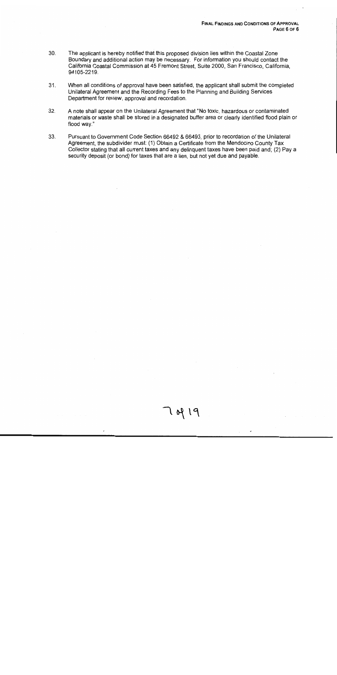- 30. The applicant is hereby notified that this proposed division lies within the Coastal Zone Boundary and additional action may be necessary. For information you should contact the California Coastal Commission at 45 Fremont Street, Suite 2000, San Francisco, California, 94105-2219.
- $31.$ When all conditions of approval have been satisfied, the applicant shall submit the completed Unilateral Agreement and the Recording Fees to the Planning and Building Services Department for review, approval and recordation.
- 32. A note shall appear on the Unilateral Agreement that "No toxic, hazardous or contaminated materials or waste shall be stored in a designated buffer area or clearly identified flood plain or flood way."
- 33. Pursuant to Government Code Section 66492 & 66493, prior to recordation of the Unilateral Agreement, the subdivider must: (1) Obtain a Certificate from the Mendocino County Tax Collector stating that all current taxes and any delinguent taxes have been paid and; (2) Pay a security deposit (or bond) for taxes that are a lien, but not yet due and payable.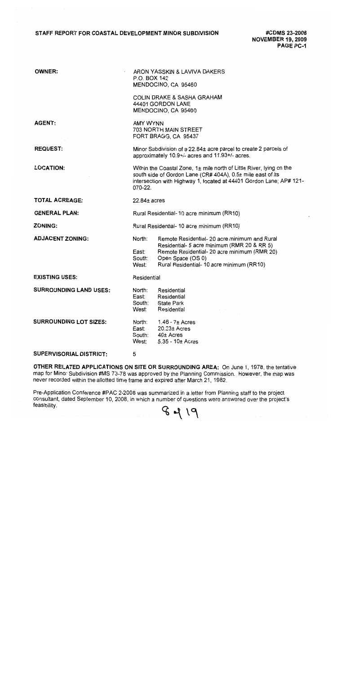#### STAFF REPORT FOR COASTAL DEVELOPMENT MINOR SUBDIVISION

#CDMS 23-2008 **NOVEMBER 19, 2009** PAGE PC-1

| <b>OWNER:</b>                  | ARON YASSKIN & LAVIVA DAKERS<br>P.O. BOX 142<br>MENDOCINO, CA 95460                                                                                                                                                   |                                                                                                                                                                                                                |  |  |
|--------------------------------|-----------------------------------------------------------------------------------------------------------------------------------------------------------------------------------------------------------------------|----------------------------------------------------------------------------------------------------------------------------------------------------------------------------------------------------------------|--|--|
|                                |                                                                                                                                                                                                                       | <b>COLIN DRAKE &amp; SASHA GRAHAM</b><br>44401 GORDON LANE<br>MENDOCINO, CA 95460                                                                                                                              |  |  |
| <b>AGENT:</b>                  | AMY WYNN<br><b>703 NORTH MAIN STREET</b><br>FORT BRAGG, CA 95437                                                                                                                                                      |                                                                                                                                                                                                                |  |  |
| <b>REQUEST:</b>                |                                                                                                                                                                                                                       | Minor Subdivision of a 22.84± acre parcel to create 2 parcels of<br>approximately 10.9+/- acres and 11.93+/- acres.                                                                                            |  |  |
| <b>LOCATION:</b>               | Within the Coastal Zone, 1± mile north of Little River, lying on the<br>south side of Gordon Lane (CR# 404A), 0.5± mile east of its<br>intersection with Highway 1, located at 44401 Gordon Lane; AP# 121-<br>070-22. |                                                                                                                                                                                                                |  |  |
| <b>TOTAL ACREAGE:</b>          | $22.84 \pm 2$                                                                                                                                                                                                         |                                                                                                                                                                                                                |  |  |
| <b>GENERAL PLAN:</b>           | Rural Residential- 10 acre minimum (RR10)                                                                                                                                                                             |                                                                                                                                                                                                                |  |  |
| <b>ZONING:</b>                 | Rural Residential- 10 acre minimum (RR10)                                                                                                                                                                             |                                                                                                                                                                                                                |  |  |
| <b>ADJACENT ZONING:</b>        | North:<br>East:<br>South:<br>West:                                                                                                                                                                                    | Remote Residential- 20 acre minimum and Rural<br>Residential- 5 acre minimum (RMR 20 & RR 5)<br>Remote Residential- 20 acre minimum (RMR 20)<br>Open Space (OS 0)<br>Rural Residential- 10 acre minimum (RR10) |  |  |
| <b>EXISTING USES:</b>          | Residential                                                                                                                                                                                                           |                                                                                                                                                                                                                |  |  |
| <b>SURROUNDING LAND USES:</b>  | North:<br>East:<br>South:<br>West:                                                                                                                                                                                    | Residential<br>Residential<br>State Park<br>Residential                                                                                                                                                        |  |  |
| <b>SURROUNDING LOT SIZES:</b>  | North:<br>East:<br>South:<br>West:                                                                                                                                                                                    | 1.46 - 7± Acres<br>$20.23 \pm$ Acres<br>40± Acres<br>$5.35 - 10+$ Acres                                                                                                                                        |  |  |
| <b>SUPERVISORIAL DISTRICT:</b> | 5.                                                                                                                                                                                                                    |                                                                                                                                                                                                                |  |  |

OTHER RELATED APPLICATIONS ON SITE OR SURROUNDING AREA: On June 1, 1978, the tentative map for Minor Subdivision #MS 73-78 was approved by the Planning Commission. However, the map was never recorded within the allotted time frame and expired after March 21, 1982.

Pre-Application Conference #PAC 2-2008 was summarized in a letter from Planning staff to the project consultant, dated September 10, 2008, in which a number of questions were answered over the project's feasibility.

8419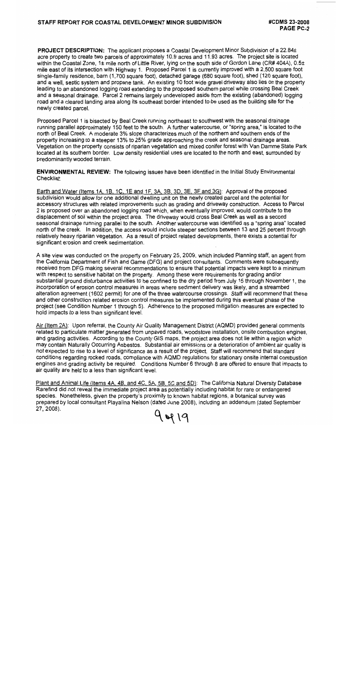**PROJECT DESCRIPTION:** The applicant proposes a Coastal Development Minor Subdivision of a 22.84± acre property to create two parcels of approximately 10.9 acres and 11.93 acres. The project site is located within the Coastal Zone, 1± mile north of Little River, lying on the south side of Gordon Lane (CR# 404A), 0.5± mile east of its intersection with Highway 1. Proposed Parcel 1 is currently improved with a 2,500 square foot single-family residence, barn (1,700 square foot), detached garage (680 square foot), shed (120 square foot), and a well, septic system and propane tank. An existing 10 foot wide gravel driveway also lies on the property leading to an abandoned logging road extending to the proposed southern parcel while crossing Beal Creek and a seasonal drainage. Parcel 2 remains largely undeveloped aside from the existing (abandoned) logging road and a cleared landing area along its southeast border intended to be used as the building site for the newly created parcel.

Proposed Parcel 1 is bisected by Beal Creek running northeast to southwest with the seasonal drainage running parallel approximately 150 feet to the south. A further watercourse, or "spring area," is located to the north of Beal Creek. A moderate 3% slope characterizes much of the northern and southern ends of the property increasing to a steeper 13% to 25% grade approaching the creek and seasonal drainage areas. Vegetation on the property consists of riparian vegetation and mixed conifer forest with Van Damme State Park located at its southern border. Low density residential uses are located to the north and east, surrounded by predominantly wooded terrain.

**ENVIRONMENTAL REVIEW:** The following issues have been identified in the Initial Study Environmental Checklist:

Earth and Water (Items 1A, 1B, 1C, 1E and 1F, 3A, 3B, 3D, 3E, 3F and 3G): Approval of the proposed subdivision would allow for one additional dwelling unit on the newly created parcel and the potential for accessory structures with related improvements such as grading and driveway construction. Access to Parcel 2 is proposed over an abandoned logging road which, when eventually improved, would contribute to the displacement of soil within the project area. The driveway would cross Beal Creek as well as a second seasonal drainage running parallel to the south. Another watercourse was identified as a "spring area" located north of the creek. In addition, the access would include steeper sections between 13 and 25 percent through relatively heavy riparian vegetation. As a result of project related developments, there exists a potential for significant erosion and creek sedimentation.

A site view was conducted on the property on February 25, 2009, which included Planning staff, an agent from the California Department of Fish and Game (DFG) and project consultants. Comments were subsequently received from DFG making several recommendations to ensure that potential impacts were kept to a minimum with respect to sensitive habitat on the property. Among these were requirements for grading and/or substantial ground disturbance activities to be confined to the dry period from July 15 through November 1, the incorporation of erosion control measures in areas where sediment delivery was likely, and a streambed alteration agreement (1602 permit) for one of the three watercourse crossings. Staff will recommend that these and other construction related erosion control measures be implemented during this eventual phase of the project (see Condition Number 1 through 5). Adherence to the proposed mitigation measures are expected to hold impacts to a less than significant level.

Air (Item 2A): Upon referral, the County Air Quality Management District (AQMD) provided general comments related to particulate matter generated from unpaved roads, woodstove installation, onsite combustion engines, and grading activities. According to the County GIS maps, the project area does not lie within a region which may contain Naturally Occurring Asbestos. Substantial air emissions or a deterioration of ambient air quality is not expected to rise to a level of significance as a result of the project. Staff will recommend that standard conditions regarding rocked roads, compliance with AQMD regulations for stationary onsite internal combustion engines and grading activity be required. Conditions Number 6 through 8 are offered to ensure that impacts to air quality are held to a less than significant level.

Plant and Animal Life (Items 4A, 4B, and 4C, 5A, 5B, 5C and 5D): The California Natural Diversity Database Rarefind did not reveal the immediate project area as potentially including habitat for rare or endangered species. Nonetheless, given the property's proximity to known habitat regions, a botanical survey was prepared by local consultant Playalina Nelson (dated June 2008), including an addendum (dated September 27, 2008). 9419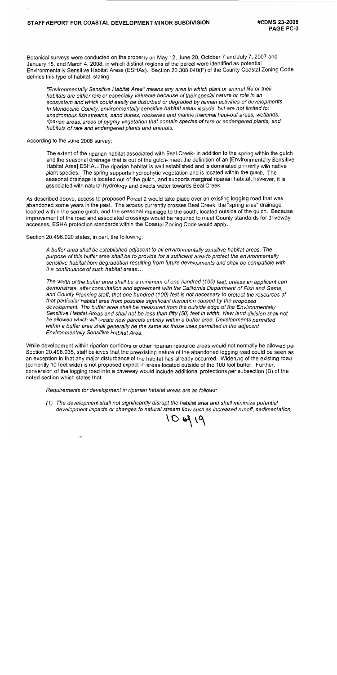Botanical surveys were conducted on the property on May 12, June 20, October 7 and July 7, 2007 and January 15, and March 4, 2008, in which distinct regions of the parcel were identified as potential Environmentally Sensitive Habitat Areas (ESHAs). Section 20.308.040(F) of the County Coastal Zoning Code defines this type of habitat, stating:

"Environmentally Sensitive Habitat Area" means any area in which plant or animal life or their habitats are either rare or especially valuable because of their special nature or role in an ecosystem and which could easily be disturbed or degraded by human activities or developments. In Mendocino County, environmentally sensitive habitat areas include, but are not limited to: anadromous fish streams, sand dunes, rookeries and marine mammal haul-out areas, wetlands, riparian areas, areas of pygmy vegetation that contain species of rare or endangered plants, and habitats of rare and endangered plants and animals.

According to the June 2008 survey:

The extent of the riparian habitat associated with Beal Creek- in addition to the spring within the gulch and the seasonal drainage that is out of the gulch-meet the definition of an [Environmentally Sensitive Habitat Area] ESHA...The riparian habitat is well established and is dominated primarily with native plant species. The spring supports hydrophytic vegetation and is located within the gulch. The seasonal drainage is located out of the gulch, and supports marginal riparian habitat; however, it is associated with natural hydrology and directs water towards Beal Creek.

As described above, access to proposed Parcel 2 would take place over an existing logging road that was abandoned some years in the past. The access currently crosses Beal Creek, the "spring area" drainage located within the same guich, and the seasonal drainage to the south, located outside of the guich. Because improvement of the road and associated crossings would be required to meet County standards for driveway accesses, ESHA protection standards within the Coastal Zoning Code would apply.

Section 20.496.020 states, in part, the following:

A buffer area shall be established adjacent to all environmentally sensitive habitat areas. The purpose of this buffer area shall be to provide for a sufficient area to protect the environmentally sensitive habitat from degradation resulting from future developments and shall be compatible with the continuance of such habitat areas...

The width of the buffer area shall be a minimum of one hundred (100) feet, unless an applicant can demonstrate, after consultation and agreement with the California Department of Fish and Game, and County Planning staff, that one hundred (100) feet is not necessary to protect the resources of that particular habitat area from possible significant disruption caused by the proposed development. The buffer area shall be measured from the outside edge of the Environmentally Sensitive Habitat Areas and shall not be less than fifty (50) feet in width. New land division shall not be allowed which will create new parcels entirely within a buffer area. Developments permitted within a buffer area shall generally be the same as those uses permitted in the adiacent Environmentally Sensitive Habitat Area.

While development within riparian corridors or other riparian resource areas would not normally be allowed per Section 20.496.035, staff believes that the preexisting nature of the abandoned logging road could be seen as an exception in that any major disturbance of the habitat has already occurred. Widening of the existing road (currently 10 feet wide) is not proposed expect in areas located outside of the 100 foot buffer. Further, conversion of the logging road into a driveway would include additional protections per subsection (B) of the noted section which states that:

Requirements for development in riparian habitat areas are as follows:

(1) The development shall not significantly disrupt the habitat area and shall minimize potential development impacts or changes to natural stream flow such as increased runoff, sedimentation,

10 of 19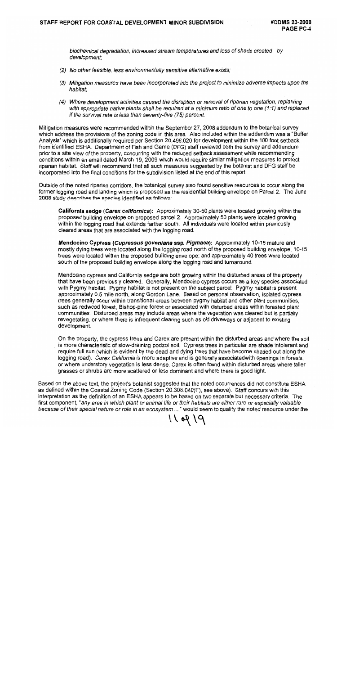biochemical degradation, increased stream temperatures and loss of shade created by development:

- (2) No other feasible, less environmentally sensitive alternative exists;
- (3) Mitigation measures have been incorporated into the project to minimize adverse impacts upon the habitat:
- (4) Where development activities caused the disruption or removal of riparian vegetation, replanting with appropriate native plants shall be required at a minimum ratio of one to one (1:1) and replaced if the survival rate is less than seventy-five (75) percent.

Mitigation measures were recommended within the September 27, 2008 addendum to the botanical survey which address the provisions of the zoning code in this area. Also included within the addendum was a "Buffer Analysis" which is additionally required per Section 20.496.020 for development within the 100 foot setback from identified ESHA. Department of Fish and Game (DFG) staff reviewed both the survey and addendum prior to a site view of the property, concurring with the reduced setback assessment while recommending conditions within an email dated March 19, 2009 which would require similar mitigation measures to protect riparian habitat. Staff will recommend that all such measures suggested by the botanist and DFG staff be incorporated into the final conditions for the subdivision listed at the end of this report.

Outside of the noted riparian corridors, the botanical survey also found sensitive resources to occur along the former logging road and landing which is proposed as the residential building envelope on Parcel 2. The June 2008 study describes the species identified as follows:

California sedge (Carex californica): Approximately 30-50 plants were located growing within the proposed building envelope on proposed parcel 2. Approximately 50 plants were located growing within the logging road that extends farther south. All individuals were located within previously cleared areas that are associated with the logging road.

Mendocino Cypress (Cupressus goveniana ssp. Pigmaea): Approximately 10-15 mature and mostly dying trees were located along the logging road north of the proposed building envelope; 10-15 trees were located within the proposed building envelope; and approximately 40 trees were located south of the proposed building envelope along the logging road and turnaround.

Mendocino cypress and California sedge are both growing within the disturbed areas of the property that have been previously cleared. Generally, Mendocino cypress occurs as a key species associated with Pygmy habitat. Pygmy habitat is not present on the subject parcel. Pygmy habitat is present approximately 0.5 mile north, along Gordon Lane. Based on personal observation, isolated cypress trees generally occur within transitional areas between pygmy habitat and other plant communities, such as redwood forest, Bishop-pine forest or associated with disturbed areas within forested plant communities. Disturbed areas may include areas where the vegetation was cleared but is partially revegetating, or where there is infrequent clearing such as old driveways or adjacent to existing development.

On the property, the cypress trees and Carex are present within the disturbed areas and where the soil is more characteristic of slow-draining podzol soil. Cypress trees in particular are shade intolerant and require full sun (which is evident by the dead and dying trees that have become shaded out along the logging road). Carex California is more adaptive and is generally associatedwith openings in forests, or where understory vegetation is less dense. Carex is often found within disturbed areas where taller grasses or shrubs are more scattered or less dominant and where there is good light.

Based on the above text, the project's botanist suggested that the noted occurrences did not constitute ESHA as defined within the Coastal Zoning Code (Section 20.308.040(F), see above). Staff concurs with this interpretation as the definition of an ESHA appears to be based on two separate but necessary criteria. The first component, "any area in which plant or animal life or their habitats are either rare or especially valuable because of their special nature or role in an ecosystem...," would seem to qualify the noted resource under the

11 09 19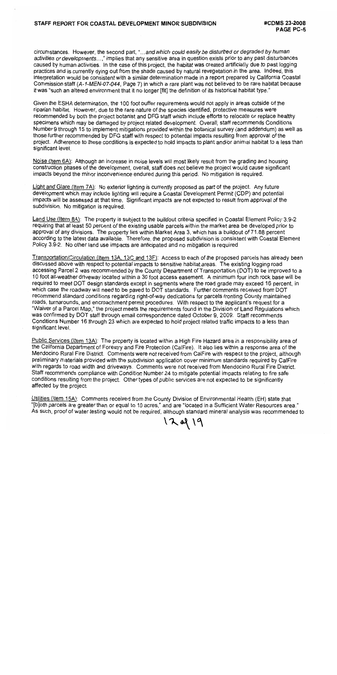circumstances. However, the second part, "...and which could easily be disturbed or degraded by human activities or developments...." implies that any sensitive area in question exists prior to any past disturbances caused by human activities. In the case of this project, the habitat was created artificially due to past logging practices and is currently dying out from the shade caused by natural revegetation in the area. Indeed, this interpretation would be consistent with a similar determination made in a report prepared by California Coastal Commission staff (A-1-MEN-07-044, Page 7) in which a rare plant was not believed to be rare habitat because it was "such an altered environment that it no longer [fit] the definition of its historical habitat type."

Given the ESHA determination, the 100 foot buffer requirements would not apply in areas outside of the riparian habitat. However, due to the rare nature of the species identified, protective measures were recommended by both the project botanist and DFG staff which include efforts to relocate or replace healthy specimens which may be damaged by project related development. Overall, staff recommends Conditions Number 9 through 15 to implement mitigations provided within the botanical survey (and addendum) as well as those further recommended by DFG staff with respect to potential impacts resulting from approval of the project. Adherence to these conditions is expected to hold impacts to plant and/or animal habitat to a less than significant level.

Noise (Item 6A): Although an increase in noise levels will most likely result from the grading and housing construction phases of the development, overall, staff does not believe the project would cause significant impacts beyond the minor inconvenience endured during this period. No mitigation is required.

Light and Glare (Item 7A): No exterior lighting is currently proposed as part of the project. Any future development which may include lighting will require a Coastal Development Permit (CDP) and potential impacts will be assessed at that time. Significant impacts are not expected to result from approval of the subdivision. No mitigation is required.

Land Use (Item 8A): The property is subject to the buildout criteria specified in Coastal Element Policy 3.9-2 requiring that at least 50 percent of the existing usable parcels within the market area be developed prior to approval of any divisions. The property lies within Market Area 3, which has a buildout of 71.88 percent according to the latest data available. Therefore, the proposed subdivision is consistent with Coastal Element Policy 3.9-2. No other land use impacts are anticipated and no mitigation is required.

Transportation/Circulation (Item 13A, 13C and 13F): Access to each of the proposed parcels has already been discussed above with respect to potential impacts to sensitive habitat areas. The existing logging road accessing Parcel 2 was recommended by the County Department of Transportation (DOT) to be improved to a 10 foot all-weather driveway located within a 30 foot access easement. A minimum four inch rock base will be required to meet DOT design standards except in segments where the road grade may exceed 16 percent, in which case the roadway will need to be paved to DOT standards. Further comments received from DOT recommend standard conditions regarding right-of-way dedications for parcels fronting County maintained roads, turnarounds, and encroachment permit procedures. With respect to the applicant's request for a "Waiver of a Parcel Map," the project meets the requirements found in the Division of Land Regulations which was confirmed by DOT staff through email correspondence dated October 9, 2009. Staff recommends Conditions Number 16 through 23 which are expected to hold project related traffic impacts to a less than significant level.

Public Services (Item 13A): The property is located within a High Fire Hazard area in a responsibility area of the California Department of Forestry and Fire Protection (CalFire). It also lies within a response area of the Mendocino Rural Fire District. Comments were not received from CalFire with respect to the project, although preliminary materials provided with the subdivision application cover minimum standards required by CalFire with regards to road width and driveways. Comments were not received from Mendocino Rural Fire District. Staff recommends compliance with Condition Number 24 to mitigate potential impacts relating to fire safe conditions resulting from the project. Other types of public services are not expected to be significantly affected by the project.

Utilities (Item 15A): Comments received from the County Division of Environmental Health (EH) state that "[b]oth parcels are greater than or equal to 10 acres," and are "located in a Sufficient Water Resources area." As such, proof of water testing would not be required, although standard mineral analysis was recommended to

120919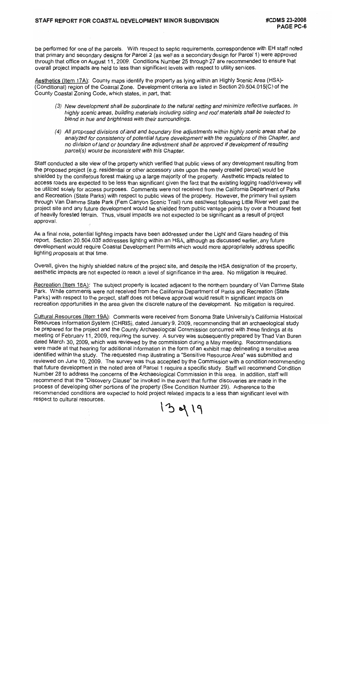be performed for one of the parcels. With respect to septic requirements, correspondence with EH staff noted that primary and secondary designs for Parcel 2 (as well as a secondary design for Parcel 1) were approved through that office on August 11, 2009. Conditions Number 25 through 27 are recommended to ensure that overall project impacts are held to less than significant levels with respect to utility services.

Aesthetics (Item 17A): County maps identify the property as lying within an Highly Scenic Area (HSA)-(Conditional) region of the Coastal Zone. Development criteria are listed in Section 20.504.015(C) of the County Coastal Zoning Code, which states, in part, that:

- (3) New development shall be subordinate to the natural setting and minimize reflective surfaces. In highly scenic areas, building materials including siding and roof materials shall be selected to blend in hue and brightness with their surroundings.
- (4) All proposed divisions of land and boundary line adjustments within highly scenic areas shall be analyzed for consistency of potential future development with the regulations of this Chapter, and no division of land or boundary line adjustment shall be approved if development of resulting parcel(s) would be inconsistent with this Chapter.

Staff conducted a site view of the property which verified that public views of any development resulting from the proposed project (e.g. residential or other accessory uses upon the newly created parcel) would be shielded by the coniferous forest making up a large majority of the property. Aesthetic impacts related to access roads are expected to be less than significant given the fact that the existing logging road/driveway will be utilized solely for access purposes. Comments were not received from the California Department of Parks and Recreation (State Parks) with respect to public views of the property. However, the primary trail system through Van Damme State Park (Fern Canyon Scenic Trail) runs east/west following Little River well past the project site and any future development would be shielded from public vantage points by over a thousand feet of heavily forested terrain. Thus, visual impacts are not expected to be significant as a result of project approval.

As a final note, potential lighting impacts have been addressed under the Light and Glare heading of this report. Section 20.504.035 addresses lighting within an HSA, although as discussed earlier, any future development would require Coastal Development Permits which would more appropriately address specific lighting proposals at that time.

Overall, given the highly shielded nature of the project site, and despite the HSA designation of the property, aesthetic impacts are not expected to reach a level of significance in the area. No mitigation is required.

Recreation (Item 18A): The subject property is located adjacent to the northern boundary of Van Damme State Park. While comments were not received from the California Department of Parks and Recreation (State Parks) with respect to the project, staff does not believe approval would result in significant impacts on recreation opportunities in the area given the discrete nature of the development. No mitigation is required.

Cultural Resources (Item 19A): Comments were received from Sonoma State University's California Historical Resources Information System (CHRIS), dated January 9, 2009, recommending that an archaeological study be prepared for the project and the County Archaeological Commission concurred with these findings at its meeting of February 11, 2009, requiring the survey. A survey was subsequently prepared by Thad Van Buren dated March 30, 2009, which was reviewed by the commission during a May meeting. Recommendations were made at that hearing for additional information in the form of an exhibit map delineating a sensitive area identified within the study. The requested map illustrating a "Sensitive Resource Area" was submitted and reviewed on June 10, 2009. The survey was thus accepted by the Commission with a condition recommending that future development in the noted area of Parcel 1 require a specific study. Staff will recommend Condition Number 28 to address the concerns of the Archaeological Commission in this area. In addition, staff will recommend that the "Discovery Clause" be invoked in the event that further discoveries are made in the process of developing other portions of the property (See Condition Number 29). Adherence to the recommended conditions are expected to hold project related impacts to a less than significant level with respect to cultural resources.

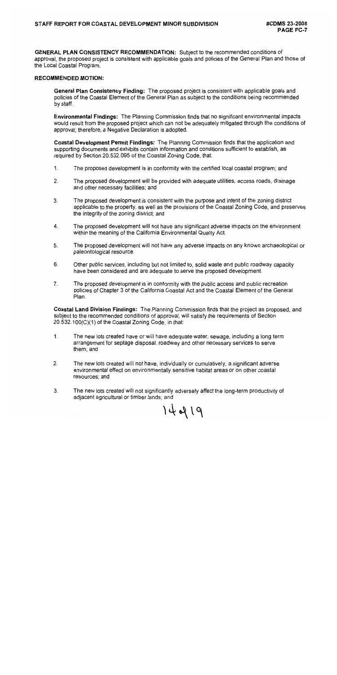**GENERAL PLAN CONSISTENCY RECOMMENDATION: Subject to the recommended conditions of** approval, the proposed project is consistent with applicable goals and policies of the General Plan and those of the Local Coastal Program.

#### **RECOMMENDED MOTION:**

General Plan Consistency Finding: The proposed project is consistent with applicable goals and policies of the Coastal Element of the General Plan as subject to the conditions being recommended by staff.

**Environmental Findings:** The Planning Commission finds that no significant environmental impacts would result from the proposed project which can not be adequately mitigated through the conditions of approval; therefore, a Negative Declaration is adopted.

Coastal Development Permit Findings: The Planning Commission finds that the application and supporting documents and exhibits contain information and conditions sufficient to establish, as required by Section 20.532.095 of the Coastal Zoning Code, that:

- $1<sub>1</sub>$ The proposed development is in conformity with the certified local coastal program; and
- The proposed development will be provided with adequate utilities, access roads, drainage  $2<sup>1</sup>$ and other necessary facilities; and
- $3.$ The proposed development is consistent with the purpose and intent of the zoning district applicable to the property, as well as the provisions of the Coastal Zoning Code, and preserves the integrity of the zoning district; and
- $\mathbf{4}$ . The proposed development will not have any significant adverse impacts on the environment within the meaning of the California Environmental Quality Act.
- 5. The proposed development will not have any adverse impacts on any known archaeological or paleontological resource.
- 6. Other public services, including but not limited to, solid waste and public roadway capacity have been considered and are adequate to serve the proposed development.
- $7<sub>1</sub>$ The proposed development is in conformity with the public access and public recreation policies of Chapter 3 of the California Coastal Act and the Coastal Element of the General Plan.

Coastal Land Division Findings: The Planning Commission finds that the project as proposed, and subject to the recommended conditions of approval, will satisfy the requirements of Section 20.532.100(C)(1) of the Coastal Zoning Code, in that:

- $\mathbf{1}$ . The new lots created have or will have adequate water, sewage, including a long term arrangement for septage disposal, roadway and other necessary services to serve them; and
- $2.$ The new lots created will not have, individually or cumulatively, a significant adverse environmental effect on environmentally sensitive habitat areas or on other coastal resources; and
- 3. The new lots created will not significantly adversely affect the long-term productivity of adjacent agricultural or timber lands; and

 $14419$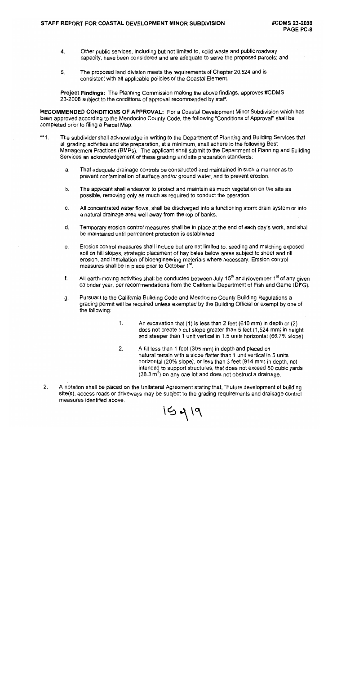- $4<sup>1</sup>$ Other public services, including but not limited to, solid waste and public roadway capacity, have been considered and are adequate to serve the proposed parcels; and
- The proposed land division meets the requirements of Chapter 20.524 and is  $5<sub>1</sub>$ consistent with all applicable policies of the Coastal Element.

**Project Findings:** The Planning Commission making the above findings, approves #CDMS 23-2008 subject to the conditions of approval recommended by staff.

RECOMMENDED CONDITIONS OF APPROVAL: For a Coastal Development Minor Subdivision which has been approved according to the Mendocino County Code, the following "Conditions of Approval" shall be completed prior to filing a Parcel Map.

- \*\* 1. The subdivider shall acknowledge in writing to the Department of Planning and Building Services that all grading activities and site preparation, at a minimum, shall adhere to the following Best Management Practices (BMPs). The applicant shall submit to the Department of Planning and Building Services an acknowledgement of these grading and site preparation standards:
	- a. That adequate drainage controls be constructed and maintained in such a manner as to prevent contamination of surface and/or ground water, and to prevent erosion.
	- b. The applicant shall endeavor to protect and maintain as much vegetation on the site as possible, removing only as much as required to conduct the operation.
	- All concentrated water flows, shall be discharged into a functioning storm drain system or into C. a natural drainage area well away from the top of banks.
	- d. Temporary erosion control measures shall be in place at the end of each day's work, and shall be maintained until permanent protection is established.
	- Erosion control measures shall include but are not limited to: seeding and mulching exposed  $\mathbf{e}$ soil on hill slopes, strategic placement of hay bales below areas subject to sheet and rill erosion, and installation of bioengineering materials where necessary. Erosion control measures shall be in place prior to October 1<sup>st</sup>.
	- All earth-moving activities shall be conducted between July 15<sup>th</sup> and November 1<sup>st</sup> of any given f. calendar year, per recommendations from the California Department of Fish and Game (DFG).
	- Pursuant to the California Building Code and Mendocino County Building Regulations a g. grading permit will be required unless exempted by the Building Official or exempt by one of the following:
		- $1.$ An excavation that  $(1)$  is less than 2 feet  $(610 \text{ mm})$  in depth or  $(2)$ does not create a cut slope greater than 5 feet (1,524 mm) in height and steeper than 1 unit vertical in 1.5 units horizontal (66.7% slope).
		- $2.$ A fill less than 1 foot (305 mm) in depth and placed on natural terrain with a slope flatter than 1 unit vertical in 5 units horizontal (20% slope), or less than 3 feet (914 mm) in depth, not intended to support structures, that does not exceed 50 cubic yards  $(38.3 \text{ m}^3)$  on any one lot and does not obstruct a drainage.
	- $2.$ A notation shall be placed on the Unilateral Agreement stating that, "Future development of building site(s), access roads or driveways may be subject to the grading requirements and drainage control measures identified above.

 $15419$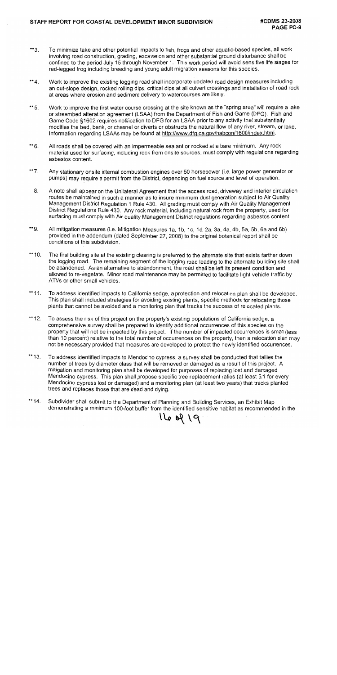- To minimize take and other potential impacts to fish, frogs and other aquatic-based species, all work  $**3.$ involving road construction, grading, excavation and other substantial ground disturbance shall be confined to the period July 15 through November 1. This work period will avoid sensitive life stages for red-legged frog including breeding and young adult migration seasons for this species.
- Work to improve the existing logging road shall incorporate updated road design measures including  $*$  4. an out-slope design, rocked rolling dips, critical dips at all culvert crossings and installation of road rock at areas where erosion and sediment delivery to watercourses are likely.
- Work to improve the first water course crossing at the site known as the "spring area" will require a lake \*\* 5. or streambed alteration agreement (LSAA) from the Department of Fish and Game (DFG). Fish and Game Code §1602 requires notification to DFG for an LSAA prior to any activity that substantially modifies the bed, bank, or channel or diverts or obstructs the natural flow of any river, stream, or lake. Information regarding LSAAs may be found at http://www.dfg.ca.gov/habcon/1600/index.html.
- \*\* 6. All roads shall be covered with an impermeable sealant or rocked at a bare minimum. Any rock material used for surfacing, including rock from onsite sources, must comply with regulations regarding asbestos content.
- Any stationary onsite internal combustion engines over 50 horsepower (i.e. large power generator or  $*$ \*7. pumps) may require a permit from the District, depending on fuel source and level of operation.
- A note shall appear on the Unilateral Agreement that the access road, driveway and interior circulation 8. routes be maintained in such a manner as to insure minimum dust generation subject to Air Quality Management District Regulation 1 Rule 430. All grading must comply with Air Quality Management District Regulations Rule 430. Any rock material, including natural rock from the property, used for surfacing must comply with Air quality Management District regulations regarding asbestos content.
- \*\*9. All mitigation measures (i.e. Mitigation Measures 1a, 1b, 1c, 1d, 2a, 3a, 4a, 4b, 5a, 5b, 6a and 6b) provided in the addendum (dated September 27, 2008) to the original botanical report shall be conditions of this subdivision.
- \*\*  $10.$ The first building site at the existing clearing is preferred to the alternate site that exists farther down the logging road. The remaining segment of the logging road leading to the alternate building site shall be abandoned. As an alternative to abandonment, the road shall be left its present condition and allowed to re-vegetate. Minor road maintenance may be permitted to facilitate light vehicle traffic by ATVs or other small vehicles.
- \*\* 11. To address identified impacts to California sedge, a protection and relocation plan shall be developed. This plan shall included strategies for avoiding existing plants, specific methods for relocating those plants that cannot be avoided and a monitoring plan that tracks the success of relocated plants.
- \*\* 12. To assess the risk of this project on the property's existing populations of California sedge, a comprehensive survey shall be prepared to identify additional occurrences of this species on the property that will not be impacted by this project. If the number of impacted occurrences is small (less than 10 percent) relative to the total number of occurrences on the property, then a relocation plan may not be necessary provided that measures are developed to protect the newly identified occurrences.
- \*\* 13. To address identified impacts to Mendocino cypress, a survey shall be conducted that tallies the number of trees by diameter class that will be removed or damaged as a result of this project. A mitigation and monitoring plan shall be developed for purposes of replacing lost and damaged Mendocino cypress. This plan shall propose specific tree replacement ratios (at least 5:1 for every Mendocino cypress lost or damaged) and a monitoring plan (at least two years) that tracks planted trees and replaces those that are dead and dying.
- \*\* 14. Subdivider shall submit to the Department of Planning and Building Services, an Exhibit Map demonstrating a minimum 100-foot buffer from the identified sensitive habitat as recommended in the

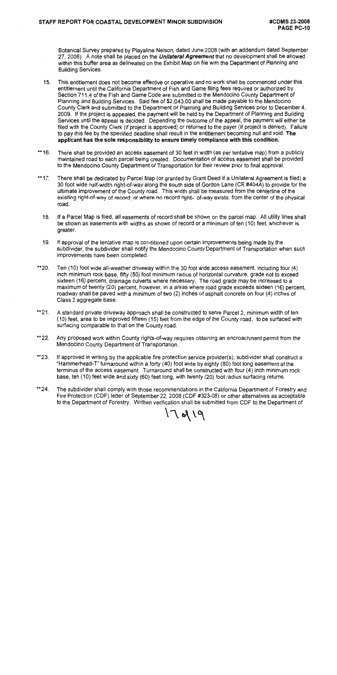Botanical Survey prepared by Playalina Nelson, dated June 2008 (with an addendum dated September 27, 2008). A note shall be placed on the *Unilateral Agreement* that no development shall be allowed within this buffer area as delineated on the Exhibit Map on file with the Department of Planning and **Building Services.** 

- This entitlement does not become effective or operative and no work shall be commenced under this  $15.$ entitlement until the California Department of Fish and Game filing fees required or authorized by Section 711.4 of the Fish and Game Code are submitted to the Mendocino County Department of Planning and Building Services. Said fee of \$2,043.00 shall be made payable to the Mendocino County Clerk and submitted to the Department of Planning and Building Services prior to December 4, 2009. If the project is appealed, the payment will be held by the Department of Planning and Building Services until the appeal is decided. Depending the outcome of the appeal, the payment will either be filed with the County Clerk (if project is approved) or returned to the payer (if project is denied). Failure to pay this fee by the specified deadline shall result in the entitlement becoming null and void. The applicant has the sole responsibility to ensure timely compliance with this condition.
- \*\* 16. There shall be provided an access easement of 30 feet in width (as per tentative map) from a publicly maintained road to each parcel being created. Documentation of access easement shall be provided to the Mendocino County Department of Transportation for their review prior to final approval.
- \*\* 17. There shall be dedicated by Parcel Map (or granted by Grant Deed if a Unilateral Agreement is filed) a 30 foot wide half-width right-of-way along the south side of Gordon Lane (CR #404A) to provide for the ultimate improvement of the County road. This width shall be measured from the centerline of the existing right-of-way of record, or where no record right- of-way exists, from the center of the physical road.
	- If a Parcel Map is filed, all easements of record shall be shown on the parcel map. All utility lines shall 18. be shown as easements with widths as shown of record or a minimum of ten (10) feet, whichever is greater.
	- $19.$ If approval of the tentative map is conditioned upon certain improvements being made by the subdivider, the subdivider shall notify the Mendocino County Department of Transportation when such improvements have been completed.
- \*\*20. Ten (10) foot wide all-weather driveway within the 30 foot wide access easement, including four (4) inch minimum rock base, fifty (50) foot minimum radius of horizontal curvature, grade not to exceed sixteen (16) percent, drainage culverts where necessary. The road grade may be increased to a maximum of twenty (20) percent, however, in a areas where road grade exceeds sixteen (16) percent, roadway shall be paved with a minimum of two (2) inches of asphalt concrete on four (4) inches of Class 2 aggregate base.
- \*\*21. A standard private driveway approach shall be constructed to serve Parcel 2, minimum width of ten (10) feet, area to be improved fifteen (15) feet from the edge of the County road, to be surfaced with surfacing comparable to that on the County road.
- \*\*22. Any proposed work within County rights-of-way requires obtaining an encroachment permit from the Mendocino County Department of Transportation.
- \*\*23. If approved in writing by the applicable fire protection service provider(s), subdivider shall construct a "Hammerhead-T" turnaround within a forty (40) foot wide by eighty (80) foot long easement at the terminus of the access easement. Turnaround shall be constructed with four (4) inch minimum rock base, ten (10) feet wide and sixty (60) feet long, with twenty (20) foot radius surfacing returns.
- \*\* 24. The subdivider shall comply with those recommendations in the California Department of Forestry and Fire Protection (CDF) letter of September 22, 2008 (CDF #323-08) or other alternatives as acceptable to the Department of Forestry. Written verification shall be submitted from CDF to the Department of

 $17819$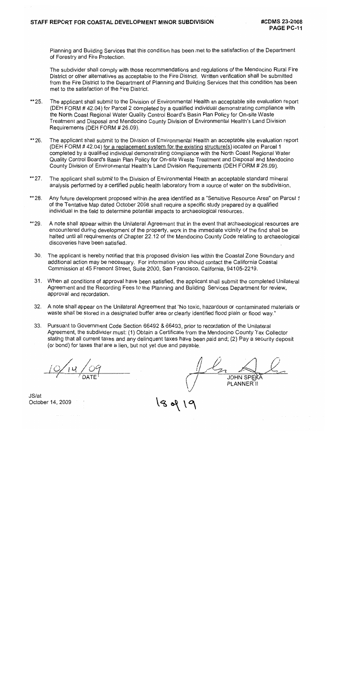Planning and Building Services that this condition has been met to the satisfaction of the Department of Forestry and Fire Protection.

The subdivider shall comply with those recommendations and regulations of the Mendocino Rural Fire District or other alternatives as acceptable to the Fire District. Written verification shall be submitted from the Fire District to the Department of Planning and Building Services that this condition has been met to the satisfaction of the Fire District.

- $*$  25. The applicant shall submit to the Division of Environmental Health an acceptable site evaluation report (DEH FORM #42.04) for Parcel 2 completed by a qualified individual demonstrating compliance with the North Coast Regional Water Quality Control Board's Basin Plan Policy for On-site Waste Treatment and Disposal and Mendocino County Division of Environmental Health's Land Division Requirements (DEH FORM # 26.09).
- The applicant shall submit to the Division of Environmental Health an acceptable site evaluation report \*\* 26. (DEH FORM #42.04) for a replacement system for the existing structure(s) located on Parcel 1 completed by a qualified individual demonstrating compliance with the North Coast Regional Water Quality Control Board's Basin Plan Policy for On-site Waste Treatment and Disposal and Mendocino County Division of Environmental Health's Land Division Requirements (DEH FORM # 26.09).
- The applicant shall submit to the Division of Environmental Health an acceptable standard mineral  $**27.$ analysis performed by a certified public health laboratory from a source of water on the subdivision.
- \*\* 28. Any future development proposed within the area identified as a "Sensitive Resource Area" on Parcel 1 of the Tentative Map dated October 2008 shall require a specific study prepared by a qualified individual in the field to determine potential impacts to archaeological resources.
- \*\* 29. A note shall appear within the Unilateral Agreement that in the event that archaeological resources are encountered during development of the property, work in the immediate vicinity of the find shall be halted until all requirements of Chapter 22.12 of the Mendocino County Code relating to archaeological discoveries have been satisfied.
	- 30. The applicant is hereby notified that this proposed division lies within the Coastal Zone Boundary and additional action may be necessary. For information you should contact the California Coastal Commission at 45 Fremont Street, Suite 2000, San Francisco, California, 94105-2219.
	- 31. When all conditions of approval have been satisfied, the applicant shall submit the completed Unilateral Agreement and the Recording Fees to the Planning and Building Services Department for review, approval and recordation.
	- 32. A note shall appear on the Unilateral Agreement that "No toxic, hazardous or contaminated materials or waste shall be stored in a designated buffer area or clearly identified flood plain or flood way."
	- 33. Pursuant to Government Code Section 66492 & 66493, prior to recordation of the Unilateral Agreement, the subdivider must: (1) Obtain a Certificate from the Mendocino County Tax Collector stating that all current taxes and any delinguent taxes have been paid and; (2) Pay a security deposit (or bond) for taxes that are a lien, but not yet due and payable.

 $198$ 

**JOHN SPEKA** PLANNER II

 $JS/at$ October 14, 2009